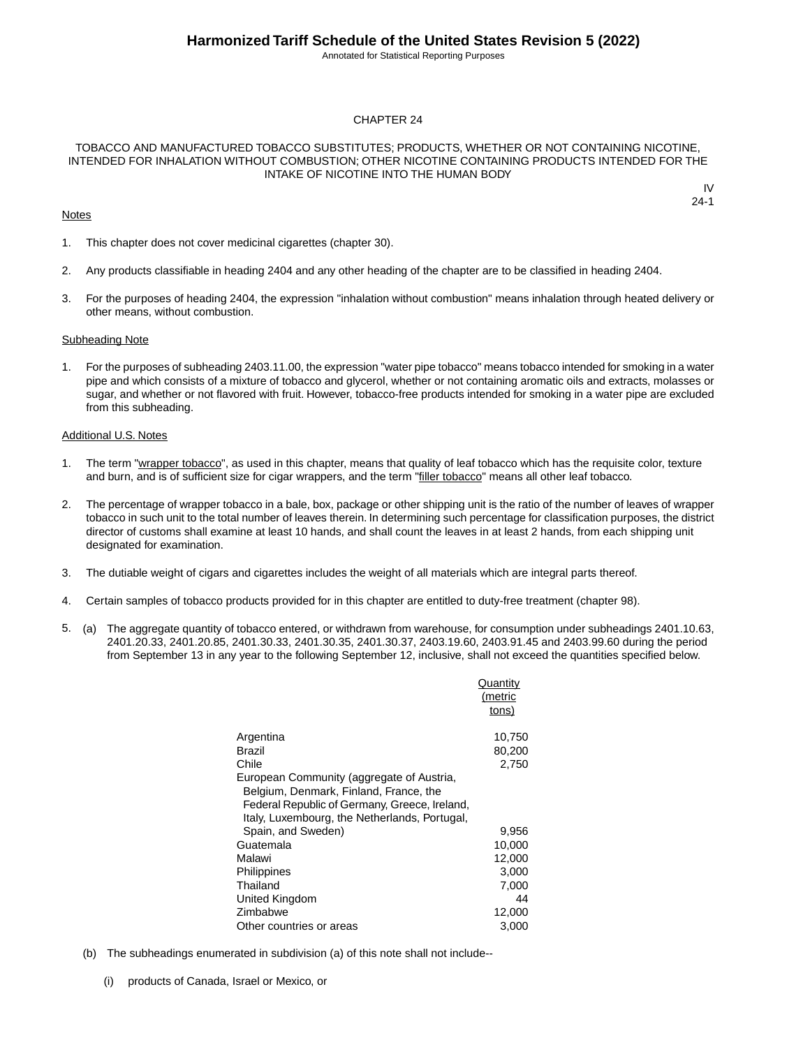Annotated for Statistical Reporting Purposes

#### CHAPTER 24

#### TOBACCO AND MANUFACTURED TOBACCO SUBSTITUTES; PRODUCTS, WHETHER OR NOT CONTAINING NICOTINE, INTENDED FOR INHALATION WITHOUT COMBUSTION; OTHER NICOTINE CONTAINING PRODUCTS INTENDED FOR THE INTAKE OF NICOTINE INTO THE HUMAN BODY

#### **Notes**

IV 24-1

- 1. This chapter does not cover medicinal cigarettes (chapter 30).
- 2. Any products classifiable in heading 2404 and any other heading of the chapter are to be classified in heading 2404.
- 3. For the purposes of heading 2404, the expression "inhalation without combustion" means inhalation through heated delivery or other means, without combustion.

#### Subheading Note

1. For the purposes of subheading 2403.11.00, the expression "water pipe tobacco" means tobacco intended for smoking in a water pipe and which consists of a mixture of tobacco and glycerol, whether or not containing aromatic oils and extracts, molasses or sugar, and whether or not flavored with fruit. However, tobacco-free products intended for smoking in a water pipe are excluded from this subheading.

#### Additional U.S. Notes

- 1. The term "wrapper tobacco", as used in this chapter, means that quality of leaf tobacco which has the requisite color, texture and burn, and is of sufficient size for cigar wrappers, and the term "filler tobacco" means all other leaf tobacco.
- 2. The percentage of wrapper tobacco in a bale, box, package or other shipping unit is the ratio of the number of leaves of wrapper tobacco in such unit to the total number of leaves therein. In determining such percentage for classification purposes, the district director of customs shall examine at least 10 hands, and shall count the leaves in at least 2 hands, from each shipping unit designated for examination.
- 3. The dutiable weight of cigars and cigarettes includes the weight of all materials which are integral parts thereof.
- 4. Certain samples of tobacco products provided for in this chapter are entitled to duty-free treatment (chapter 98).
- 5. (a) The aggregate quantity of tobacco entered, or withdrawn from warehouse, for consumption under subheadings 2401.10.63, 2401.20.33, 2401.20.85, 2401.30.33, 2401.30.35, 2401.30.37, 2403.19.60, 2403.91.45 and 2403.99.60 during the period from September 13 in any year to the following September 12, inclusive, shall not exceed the quantities specified below.

|                                                                                                                                                                                       | Quantity<br>(metric<br>tons) |
|---------------------------------------------------------------------------------------------------------------------------------------------------------------------------------------|------------------------------|
| Argentina                                                                                                                                                                             | 10,750                       |
| Brazil                                                                                                                                                                                | 80,200                       |
| Chile                                                                                                                                                                                 | 2,750                        |
| European Community (aggregate of Austria,<br>Belgium, Denmark, Finland, France, the<br>Federal Republic of Germany, Greece, Ireland,<br>Italy, Luxembourg, the Netherlands, Portugal, |                              |
| Spain, and Sweden)                                                                                                                                                                    | 9,956                        |
| Guatemala                                                                                                                                                                             | 10,000                       |
| Malawi                                                                                                                                                                                | 12,000                       |
| Philippines                                                                                                                                                                           | 3,000                        |
| Thailand                                                                                                                                                                              | 7,000                        |
| United Kingdom                                                                                                                                                                        | 44                           |
| Zimbabwe                                                                                                                                                                              | 12,000                       |
| Other countries or areas                                                                                                                                                              | 3,000                        |

- (b) The subheadings enumerated in subdivision (a) of this note shall not include--
	- (i) products of Canada, Israel or Mexico, or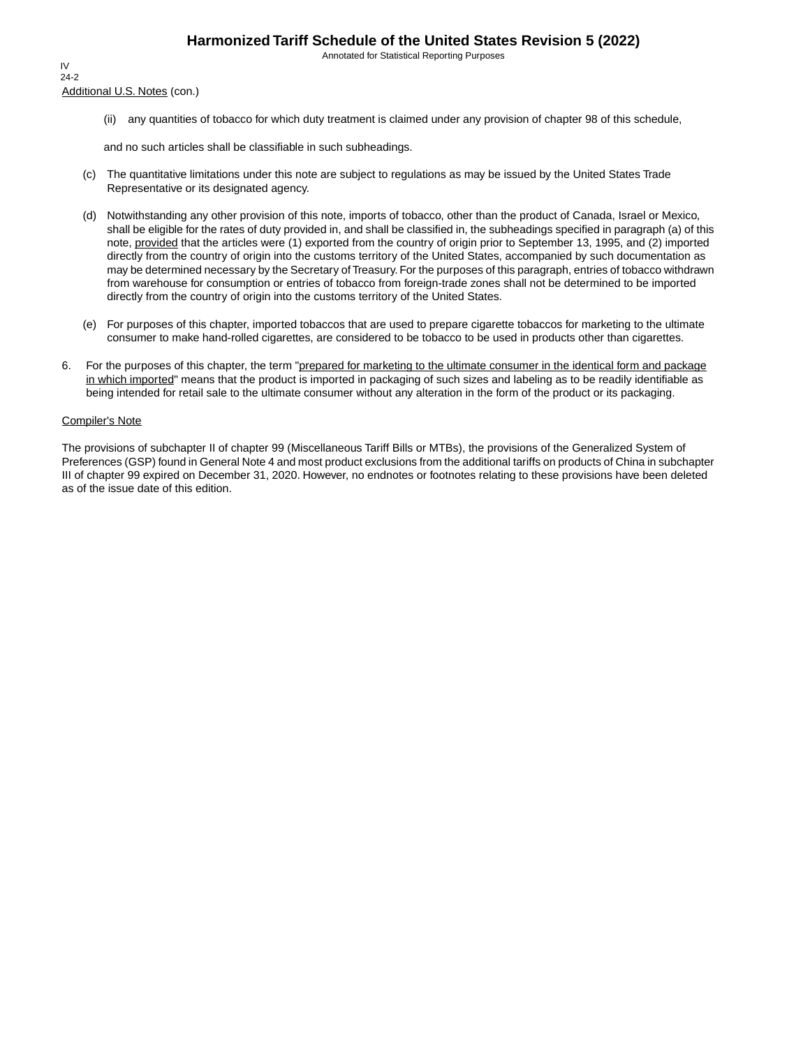Annotated for Statistical Reporting Purposes

Additional U.S. Notes (con.) IV 24-2

(ii) any quantities of tobacco for which duty treatment is claimed under any provision of chapter 98 of this schedule,

and no such articles shall be classifiable in such subheadings.

- (c) The quantitative limitations under this note are subject to regulations as may be issued by the United States Trade Representative or its designated agency.
- (d) Notwithstanding any other provision of this note, imports of tobacco, other than the product of Canada, Israel or Mexico, shall be eligible for the rates of duty provided in, and shall be classified in, the subheadings specified in paragraph (a) of this note, provided that the articles were (1) exported from the country of origin prior to September 13, 1995, and (2) imported directly from the country of origin into the customs territory of the United States, accompanied by such documentation as may be determined necessary by the Secretary of Treasury. For the purposes of this paragraph, entries of tobacco withdrawn from warehouse for consumption or entries of tobacco from foreign-trade zones shall not be determined to be imported directly from the country of origin into the customs territory of the United States.
- (e) For purposes of this chapter, imported tobaccos that are used to prepare cigarette tobaccos for marketing to the ultimate consumer to make hand-rolled cigarettes, are considered to be tobacco to be used in products other than cigarettes.
- 6. For the purposes of this chapter, the term "prepared for marketing to the ultimate consumer in the identical form and package in which imported" means that the product is imported in packaging of such sizes and labeling as to be readily identifiable as being intended for retail sale to the ultimate consumer without any alteration in the form of the product or its packaging.

#### Compiler's Note

The provisions of subchapter II of chapter 99 (Miscellaneous Tariff Bills or MTBs), the provisions of the Generalized System of Preferences (GSP) found in General Note 4 and most product exclusions from the additional tariffs on products of China in subchapter III of chapter 99 expired on December 31, 2020. However, no endnotes or footnotes relating to these provisions have been deleted as of the issue date of this edition.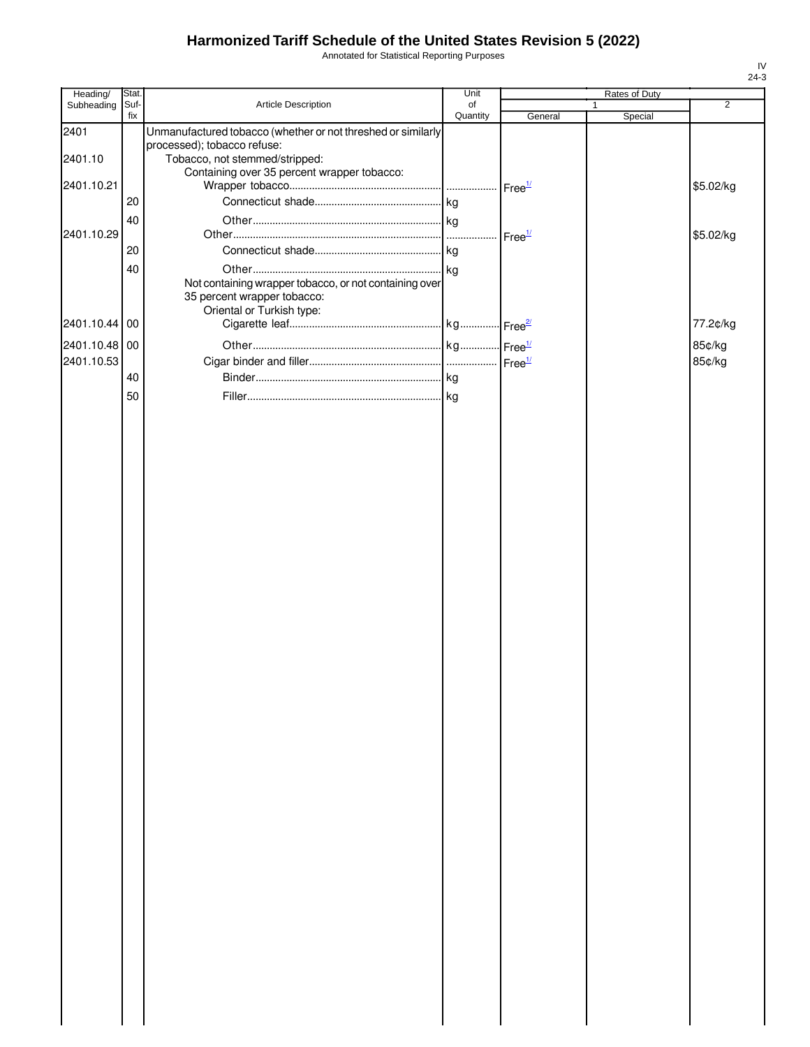Annotated for Statistical Reporting Purposes

| Heading/                    | Stat.       |                                                                                                                    | Unit           |                    | Rates of Duty |                  |
|-----------------------------|-------------|--------------------------------------------------------------------------------------------------------------------|----------------|--------------------|---------------|------------------|
| Subheading                  | Suf-<br>fix | Article Description                                                                                                | of<br>Quantity | General            | Special       | $\overline{2}$   |
| 2401                        |             | Unmanufactured tobacco (whether or not threshed or similarly<br>processed); tobacco refuse:                        |                |                    |               |                  |
| 2401.10                     |             | Tobacco, not stemmed/stripped:<br>Containing over 35 percent wrapper tobacco:                                      |                |                    |               |                  |
| 2401.10.21                  | 20          |                                                                                                                    |                | Free <sup>1/</sup> |               | \$5.02/kg        |
|                             | 40          |                                                                                                                    |                |                    |               |                  |
| 2401.10.29                  | 20          |                                                                                                                    | $\cdots$       | Free <sup>1/</sup> |               | \$5.02/kg        |
|                             | 40          | Not containing wrapper tobacco, or not containing over<br>35 percent wrapper tobacco:<br>Oriental or Turkish type: |                |                    |               |                  |
| 2401.10.44 00               |             |                                                                                                                    |                |                    |               | 77.2¢/kg         |
| 2401.10.48 00<br>2401.10.53 |             |                                                                                                                    |                |                    |               | 85¢/kg<br>85¢/kg |
|                             | 40          |                                                                                                                    |                |                    |               |                  |
|                             | 50          |                                                                                                                    |                |                    |               |                  |
|                             |             |                                                                                                                    |                |                    |               |                  |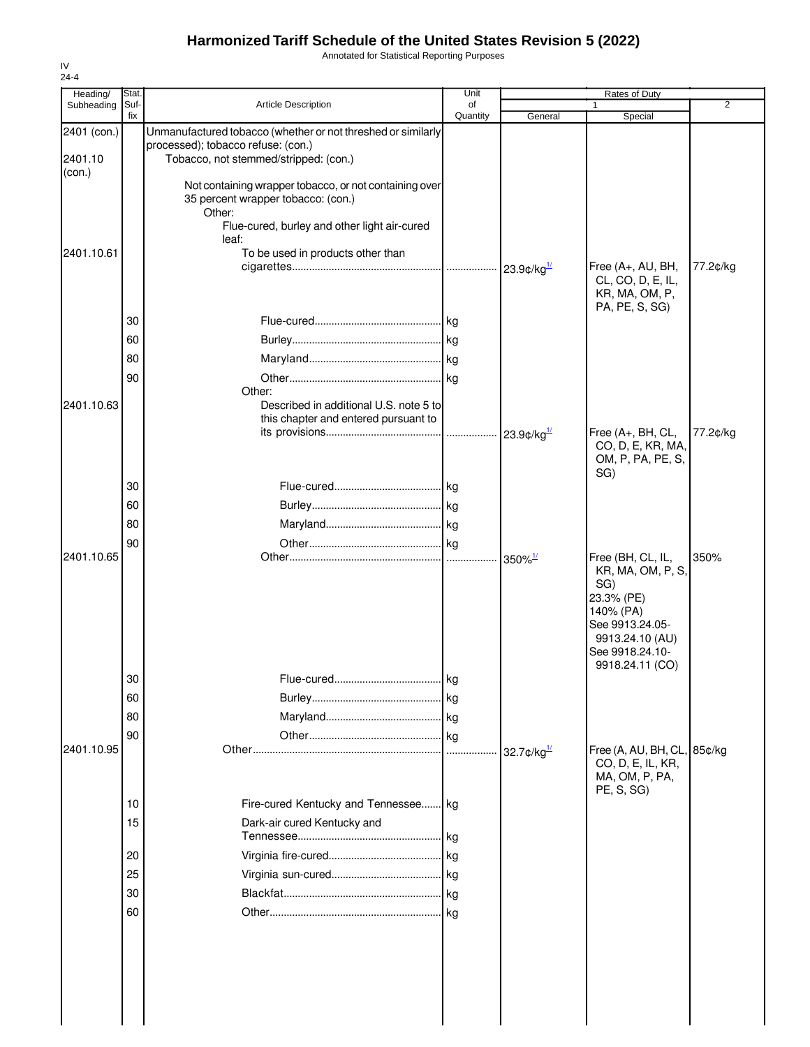Annotated for Statistical Reporting Purposes

| Heading/    | Stat.       |                                                                             | Unit           |                                              | Rates of Duty                      |                |
|-------------|-------------|-----------------------------------------------------------------------------|----------------|----------------------------------------------|------------------------------------|----------------|
| Subheading  | Suf-<br>fix | <b>Article Description</b>                                                  | of<br>Quantity | General                                      | Special                            | $\overline{2}$ |
| 2401 (con.) |             | Unmanufactured tobacco (whether or not threshed or similarly                |                |                                              |                                    |                |
| 2401.10     |             | processed); tobacco refuse: (con.)<br>Tobacco, not stemmed/stripped: (con.) |                |                                              |                                    |                |
| (con.)      |             |                                                                             |                |                                              |                                    |                |
|             |             | Not containing wrapper tobacco, or not containing over                      |                |                                              |                                    |                |
|             |             | 35 percent wrapper tobacco: (con.)<br>Other:                                |                |                                              |                                    |                |
|             |             | Flue-cured, burley and other light air-cured                                |                |                                              |                                    |                |
|             |             | leaf:                                                                       |                |                                              |                                    |                |
| 2401.10.61  |             | To be used in products other than                                           |                |                                              | Free (A+, AU, BH,                  | 77.2¢/kg       |
|             |             |                                                                             |                |                                              | CL, CO, D, E, IL,                  |                |
|             |             |                                                                             |                |                                              | KR, MA, OM, P,                     |                |
|             | 30          |                                                                             |                |                                              | PA, PE, S, SG)                     |                |
|             | 60          |                                                                             |                |                                              |                                    |                |
|             | 80          |                                                                             |                |                                              |                                    |                |
|             | 90          |                                                                             |                |                                              |                                    |                |
|             |             | Other:                                                                      |                |                                              |                                    |                |
| 2401.10.63  |             | Described in additional U.S. note 5 to                                      |                |                                              |                                    |                |
|             |             | this chapter and entered pursuant to                                        |                |                                              | Free (A+, BH, CL,                  | 77.2¢/kg       |
|             |             |                                                                             |                |                                              | CO, D, E, KR, MA,                  |                |
|             |             |                                                                             |                |                                              | OM, P, PA, PE, S,                  |                |
|             | 30          |                                                                             |                |                                              | SG)                                |                |
|             | 60          |                                                                             |                |                                              |                                    |                |
|             | 80          |                                                                             |                |                                              |                                    |                |
|             | 90          |                                                                             |                |                                              |                                    |                |
| 2401.10.65  |             |                                                                             |                | $350\%$ <sup>1/</sup>                        | Free (BH, CL, IL,                  | 350%           |
|             |             |                                                                             |                |                                              | KR, MA, OM, P, S,                  |                |
|             |             |                                                                             |                |                                              | SG)<br>23.3% (PE)                  |                |
|             |             |                                                                             |                |                                              | 140% (PA)                          |                |
|             |             |                                                                             |                |                                              | See 9913.24.05-<br>9913.24.10 (AU) |                |
|             |             |                                                                             |                |                                              | See 9918.24.10-                    |                |
|             |             |                                                                             |                |                                              | 9918.24.11 (CO)                    |                |
|             | 30          |                                                                             |                |                                              |                                    |                |
|             | 60          |                                                                             |                |                                              |                                    |                |
|             | 80          |                                                                             |                |                                              |                                    |                |
| 2401.10.95  | 90          |                                                                             |                | 32.7 $\mathcal{L}/\mathsf{kg}^{\frac{1}{2}}$ | Free (A, AU, BH, CL, 85¢/kg        |                |
|             |             |                                                                             |                |                                              | CO, D, E, IL, KR,                  |                |
|             |             |                                                                             |                |                                              | MA, OM, P, PA,                     |                |
|             | 10          | Fire-cured Kentucky and Tennessee kg                                        |                |                                              | PE, S, SG)                         |                |
|             | 15          | Dark-air cured Kentucky and                                                 |                |                                              |                                    |                |
|             |             |                                                                             | .lkg           |                                              |                                    |                |
|             | 20          |                                                                             |                |                                              |                                    |                |
|             | 25          |                                                                             |                |                                              |                                    |                |
|             | 30          |                                                                             |                |                                              |                                    |                |
|             | 60          |                                                                             |                |                                              |                                    |                |
|             |             |                                                                             |                |                                              |                                    |                |
|             |             |                                                                             |                |                                              |                                    |                |
|             |             |                                                                             |                |                                              |                                    |                |
|             |             |                                                                             |                |                                              |                                    |                |
|             |             |                                                                             |                |                                              |                                    |                |
|             |             |                                                                             |                |                                              |                                    |                |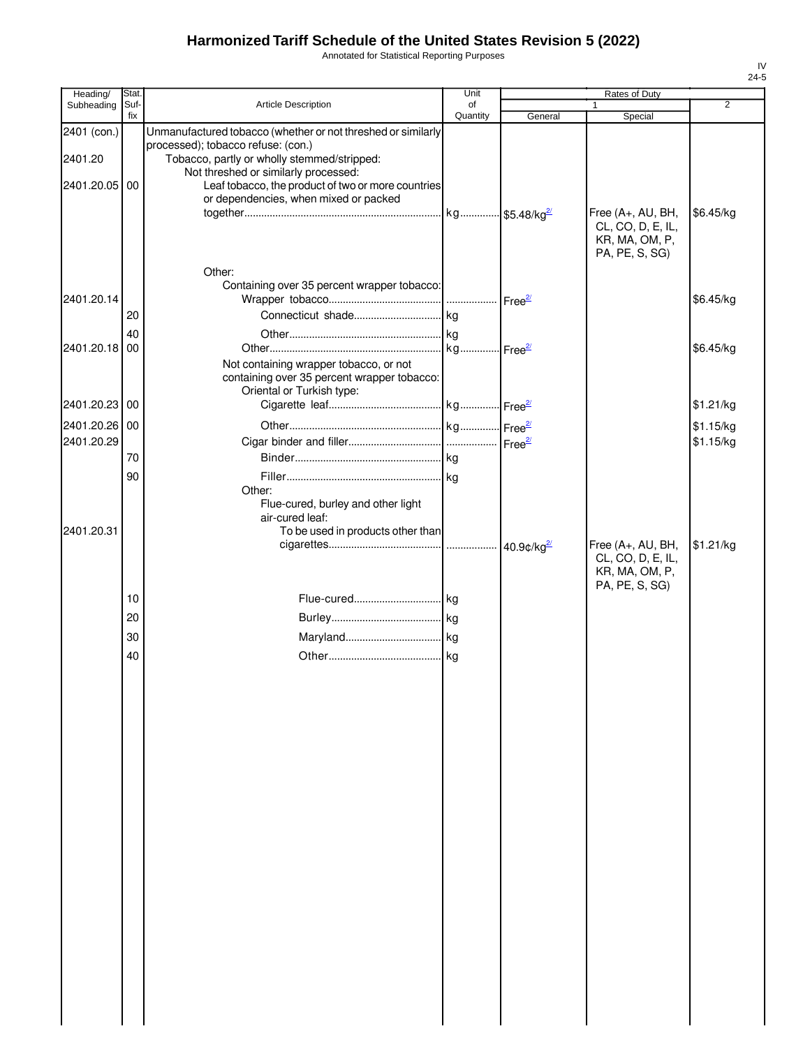Annotated for Statistical Reporting Purposes

| Heading/      | Stat.       |                                                                                                                           | Unit           |         | Rates of Duty                                                              |           |
|---------------|-------------|---------------------------------------------------------------------------------------------------------------------------|----------------|---------|----------------------------------------------------------------------------|-----------|
| Subheading    | Suf-<br>fix | <b>Article Description</b>                                                                                                | of<br>Quantity | General | 1<br>Special                                                               | 2         |
| 2401 (con.)   |             | Unmanufactured tobacco (whether or not threshed or similarly                                                              |                |         |                                                                            |           |
| 2401.20       |             | processed); tobacco refuse: (con.)<br>Tobacco, partly or wholly stemmed/stripped:<br>Not threshed or similarly processed: |                |         |                                                                            |           |
| 2401.20.05 00 |             | Leaf tobacco, the product of two or more countries<br>or dependencies, when mixed or packed                               |                |         |                                                                            |           |
|               |             |                                                                                                                           |                |         | Free (A+, AU, BH,<br>CL, CO, D, E, IL,<br>KR, MA, OM, P,<br>PA, PE, S, SG) | \$6.45/kg |
| 2401.20.14    |             | Other:<br>Containing over 35 percent wrapper tobacco:                                                                     |                |         |                                                                            | \$6.45/kg |
|               | 20          |                                                                                                                           |                |         |                                                                            |           |
| 2401.20.18 00 | 40          |                                                                                                                           |                |         |                                                                            | \$6.45/kg |
|               |             | Not containing wrapper tobacco, or not<br>containing over 35 percent wrapper tobacco:<br>Oriental or Turkish type:        |                |         |                                                                            |           |
| 2401.20.23 00 |             |                                                                                                                           |                |         |                                                                            | \$1.21/kg |
| 2401.20.26 00 |             |                                                                                                                           |                |         |                                                                            | \$1.15/kg |
| 2401.20.29    |             |                                                                                                                           |                |         |                                                                            | \$1.15/kg |
|               | 70          |                                                                                                                           |                |         |                                                                            |           |
|               | 90          |                                                                                                                           |                |         |                                                                            |           |
| 2401.20.31    |             | Other:<br>Flue-cured, burley and other light<br>air-cured leaf:<br>To be used in products other than                      |                |         |                                                                            |           |
|               |             |                                                                                                                           |                |         | Free (A+, AU, BH,                                                          | \$1.21/kg |
|               |             |                                                                                                                           |                |         | CL, CO, D, E, IL,<br>KR, MA, OM, P,<br>PA, PE, S, SG)                      |           |
|               | 10          |                                                                                                                           |                |         |                                                                            |           |
|               | 20          |                                                                                                                           |                |         |                                                                            |           |
|               | 30          |                                                                                                                           |                |         |                                                                            |           |
|               | 40          |                                                                                                                           |                |         |                                                                            |           |
|               |             |                                                                                                                           |                |         |                                                                            |           |
|               |             |                                                                                                                           |                |         |                                                                            |           |
|               |             |                                                                                                                           |                |         |                                                                            |           |
|               |             |                                                                                                                           |                |         |                                                                            |           |
|               |             |                                                                                                                           |                |         |                                                                            |           |
|               |             |                                                                                                                           |                |         |                                                                            |           |
|               |             |                                                                                                                           |                |         |                                                                            |           |
|               |             |                                                                                                                           |                |         |                                                                            |           |
|               |             |                                                                                                                           |                |         |                                                                            |           |
|               |             |                                                                                                                           |                |         |                                                                            |           |
|               |             |                                                                                                                           |                |         |                                                                            |           |
|               |             |                                                                                                                           |                |         |                                                                            |           |
|               |             |                                                                                                                           |                |         |                                                                            |           |
|               |             |                                                                                                                           |                |         |                                                                            |           |
|               |             |                                                                                                                           |                |         |                                                                            |           |
|               |             |                                                                                                                           |                |         |                                                                            |           |
|               |             |                                                                                                                           |                |         |                                                                            |           |
|               |             |                                                                                                                           |                |         |                                                                            |           |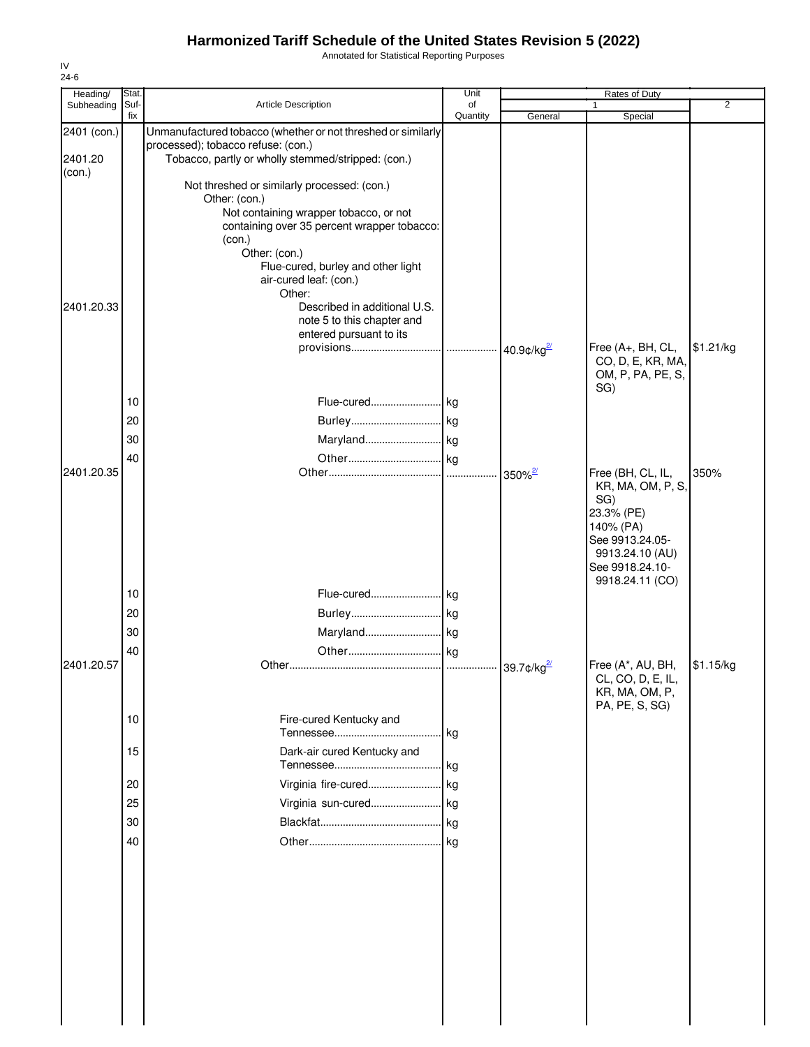Annotated for Statistical Reporting Purposes

| Heading/          | Stat.       |                                                              | Unit           |                                | Rates of Duty                          |                |
|-------------------|-------------|--------------------------------------------------------------|----------------|--------------------------------|----------------------------------------|----------------|
| Subheading        | Suf-<br>fix | Article Description                                          | of<br>Quantity | General                        | 1<br>Special                           | $\overline{2}$ |
| 2401 (con.)       |             | Unmanufactured tobacco (whether or not threshed or similarly |                |                                |                                        |                |
|                   |             | processed); tobacco refuse: (con.)                           |                |                                |                                        |                |
| 2401.20<br>(con.) |             | Tobacco, partly or wholly stemmed/stripped: (con.)           |                |                                |                                        |                |
|                   |             | Not threshed or similarly processed: (con.)                  |                |                                |                                        |                |
|                   |             | Other: (con.)                                                |                |                                |                                        |                |
|                   |             | Not containing wrapper tobacco, or not                       |                |                                |                                        |                |
|                   |             | containing over 35 percent wrapper tobacco:                  |                |                                |                                        |                |
|                   |             | (con.)<br>Other: (con.)                                      |                |                                |                                        |                |
|                   |             | Flue-cured, burley and other light                           |                |                                |                                        |                |
|                   |             | air-cured leaf: (con.)                                       |                |                                |                                        |                |
| 2401.20.33        |             | Other:<br>Described in additional U.S.                       |                |                                |                                        |                |
|                   |             | note 5 to this chapter and                                   |                |                                |                                        |                |
|                   |             | entered pursuant to its                                      |                |                                |                                        |                |
|                   |             |                                                              |                | $\cdot$ 40.9¢/kg <sup>2/</sup> | Free (A+, BH, CL,                      | \$1.21/kg      |
|                   |             |                                                              |                |                                | CO, D, E, KR, MA,<br>OM, P, PA, PE, S, |                |
|                   |             |                                                              |                |                                | SG)                                    |                |
|                   | 10          | Flue-cured kg                                                |                |                                |                                        |                |
|                   | 20          |                                                              |                |                                |                                        |                |
|                   | 30          |                                                              |                |                                |                                        |                |
|                   | 40          |                                                              |                |                                |                                        |                |
| 2401.20.35        |             |                                                              |                |                                | Free (BH, CL, IL,                      | 350%           |
|                   |             |                                                              |                |                                | KR, MA, OM, P, S,                      |                |
|                   |             |                                                              |                |                                | SG)                                    |                |
|                   |             |                                                              |                |                                | 23.3% (PE)                             |                |
|                   |             |                                                              |                |                                | 140% (PA)<br>See 9913.24.05-           |                |
|                   |             |                                                              |                |                                | 9913.24.10 (AU)                        |                |
|                   |             |                                                              |                |                                | See 9918.24.10-                        |                |
|                   | 10          | Flue-cured kg                                                |                |                                | 9918.24.11 (CO)                        |                |
|                   |             |                                                              |                |                                |                                        |                |
|                   | 20          |                                                              |                |                                |                                        |                |
|                   | 30          | Maryland kg                                                  |                |                                |                                        |                |
|                   | 40          |                                                              |                |                                |                                        |                |
| 2401.20.57        |             |                                                              |                |                                | Free (A*, AU, BH,<br>CL, CO, D, E, IL, | \$1.15/kg      |
|                   |             |                                                              |                |                                | KR, MA, OM, P,                         |                |
|                   |             |                                                              |                |                                | PA, PE, S, SG)                         |                |
|                   | 10          | Fire-cured Kentucky and                                      |                |                                |                                        |                |
|                   |             |                                                              | . kg           |                                |                                        |                |
|                   | 15          | Dark-air cured Kentucky and                                  |                |                                |                                        |                |
|                   |             |                                                              | . kg           |                                |                                        |                |
|                   | 20          | Virginia fire-cured                                          | kg             |                                |                                        |                |
|                   | 25          |                                                              |                |                                |                                        |                |
|                   | 30          |                                                              |                |                                |                                        |                |
|                   | 40          |                                                              |                |                                |                                        |                |
|                   |             |                                                              |                |                                |                                        |                |
|                   |             |                                                              |                |                                |                                        |                |
|                   |             |                                                              |                |                                |                                        |                |
|                   |             |                                                              |                |                                |                                        |                |
|                   |             |                                                              |                |                                |                                        |                |
|                   |             |                                                              |                |                                |                                        |                |
|                   |             |                                                              |                |                                |                                        |                |
|                   |             |                                                              |                |                                |                                        |                |
|                   |             |                                                              |                |                                |                                        |                |
|                   |             |                                                              |                |                                |                                        |                |
|                   |             |                                                              |                |                                |                                        |                |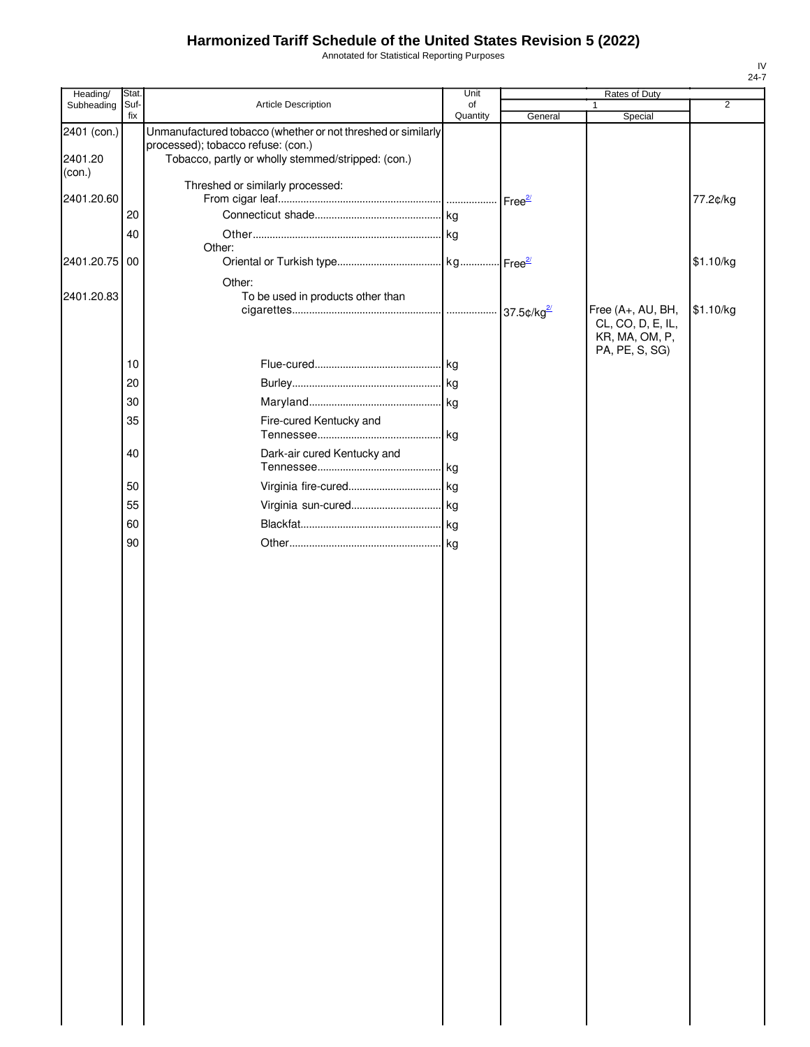Annotated for Statistical Reporting Purposes

| Suf-<br>fix<br>Quantity<br>General<br>Special<br>Unmanufactured tobacco (whether or not threshed or similarly<br>2401 (con.)<br>processed); tobacco refuse: (con.)<br>2401.20<br>Tobacco, partly or wholly stemmed/stripped: (con.)<br>(con.)<br>Threshed or similarly processed:<br>2401.20.60<br>77.2¢/kg<br>20<br>40<br>Other:<br>2401.20.75<br>00<br>\$1.10/kg<br>Other:<br>2401.20.83<br>To be used in products other than<br>Free (A+, AU, BH,<br>\$1.10/kg<br>CL, CO, D, E, IL,<br>KR, MA, OM, P,<br>PA, PE, S, SG)<br>10<br>20<br>30<br>35<br>Fire-cured Kentucky and<br>Dark-air cured Kentucky and<br>40<br>50<br>55<br>60<br>90 | Heading/   | Stat. |                     | Unit | Rates of Duty |                |
|--------------------------------------------------------------------------------------------------------------------------------------------------------------------------------------------------------------------------------------------------------------------------------------------------------------------------------------------------------------------------------------------------------------------------------------------------------------------------------------------------------------------------------------------------------------------------------------------------------------------------------------------|------------|-------|---------------------|------|---------------|----------------|
|                                                                                                                                                                                                                                                                                                                                                                                                                                                                                                                                                                                                                                            | Subheading |       | Article Description | of   | 1             | $\overline{2}$ |
|                                                                                                                                                                                                                                                                                                                                                                                                                                                                                                                                                                                                                                            |            |       |                     |      |               |                |
|                                                                                                                                                                                                                                                                                                                                                                                                                                                                                                                                                                                                                                            |            |       |                     |      |               |                |
|                                                                                                                                                                                                                                                                                                                                                                                                                                                                                                                                                                                                                                            |            |       |                     |      |               |                |
|                                                                                                                                                                                                                                                                                                                                                                                                                                                                                                                                                                                                                                            |            |       |                     |      |               |                |
|                                                                                                                                                                                                                                                                                                                                                                                                                                                                                                                                                                                                                                            |            |       |                     |      |               |                |
|                                                                                                                                                                                                                                                                                                                                                                                                                                                                                                                                                                                                                                            |            |       |                     |      |               |                |
|                                                                                                                                                                                                                                                                                                                                                                                                                                                                                                                                                                                                                                            |            |       |                     |      |               |                |
|                                                                                                                                                                                                                                                                                                                                                                                                                                                                                                                                                                                                                                            |            |       |                     |      |               |                |
|                                                                                                                                                                                                                                                                                                                                                                                                                                                                                                                                                                                                                                            |            |       |                     |      |               |                |
|                                                                                                                                                                                                                                                                                                                                                                                                                                                                                                                                                                                                                                            |            |       |                     |      |               |                |
|                                                                                                                                                                                                                                                                                                                                                                                                                                                                                                                                                                                                                                            |            |       |                     |      |               |                |
|                                                                                                                                                                                                                                                                                                                                                                                                                                                                                                                                                                                                                                            |            |       |                     |      |               |                |
|                                                                                                                                                                                                                                                                                                                                                                                                                                                                                                                                                                                                                                            |            |       |                     |      |               |                |
|                                                                                                                                                                                                                                                                                                                                                                                                                                                                                                                                                                                                                                            |            |       |                     |      |               |                |
|                                                                                                                                                                                                                                                                                                                                                                                                                                                                                                                                                                                                                                            |            |       |                     |      |               |                |
|                                                                                                                                                                                                                                                                                                                                                                                                                                                                                                                                                                                                                                            |            |       |                     |      |               |                |
|                                                                                                                                                                                                                                                                                                                                                                                                                                                                                                                                                                                                                                            |            |       |                     |      |               |                |
|                                                                                                                                                                                                                                                                                                                                                                                                                                                                                                                                                                                                                                            |            |       |                     |      |               |                |
|                                                                                                                                                                                                                                                                                                                                                                                                                                                                                                                                                                                                                                            |            |       |                     |      |               |                |
|                                                                                                                                                                                                                                                                                                                                                                                                                                                                                                                                                                                                                                            |            |       |                     |      |               |                |
|                                                                                                                                                                                                                                                                                                                                                                                                                                                                                                                                                                                                                                            |            |       |                     |      |               |                |
|                                                                                                                                                                                                                                                                                                                                                                                                                                                                                                                                                                                                                                            |            |       |                     |      |               |                |
|                                                                                                                                                                                                                                                                                                                                                                                                                                                                                                                                                                                                                                            |            |       |                     |      |               |                |
|                                                                                                                                                                                                                                                                                                                                                                                                                                                                                                                                                                                                                                            |            |       |                     |      |               |                |
|                                                                                                                                                                                                                                                                                                                                                                                                                                                                                                                                                                                                                                            |            |       |                     |      |               |                |
|                                                                                                                                                                                                                                                                                                                                                                                                                                                                                                                                                                                                                                            |            |       |                     |      |               |                |
|                                                                                                                                                                                                                                                                                                                                                                                                                                                                                                                                                                                                                                            |            |       |                     |      |               |                |
|                                                                                                                                                                                                                                                                                                                                                                                                                                                                                                                                                                                                                                            |            |       |                     |      |               |                |
|                                                                                                                                                                                                                                                                                                                                                                                                                                                                                                                                                                                                                                            |            |       |                     |      |               |                |
|                                                                                                                                                                                                                                                                                                                                                                                                                                                                                                                                                                                                                                            |            |       |                     |      |               |                |
|                                                                                                                                                                                                                                                                                                                                                                                                                                                                                                                                                                                                                                            |            |       |                     |      |               |                |
|                                                                                                                                                                                                                                                                                                                                                                                                                                                                                                                                                                                                                                            |            |       |                     |      |               |                |
|                                                                                                                                                                                                                                                                                                                                                                                                                                                                                                                                                                                                                                            |            |       |                     |      |               |                |
|                                                                                                                                                                                                                                                                                                                                                                                                                                                                                                                                                                                                                                            |            |       |                     |      |               |                |
|                                                                                                                                                                                                                                                                                                                                                                                                                                                                                                                                                                                                                                            |            |       |                     |      |               |                |
|                                                                                                                                                                                                                                                                                                                                                                                                                                                                                                                                                                                                                                            |            |       |                     |      |               |                |
|                                                                                                                                                                                                                                                                                                                                                                                                                                                                                                                                                                                                                                            |            |       |                     |      |               |                |
|                                                                                                                                                                                                                                                                                                                                                                                                                                                                                                                                                                                                                                            |            |       |                     |      |               |                |
|                                                                                                                                                                                                                                                                                                                                                                                                                                                                                                                                                                                                                                            |            |       |                     |      |               |                |
|                                                                                                                                                                                                                                                                                                                                                                                                                                                                                                                                                                                                                                            |            |       |                     |      |               |                |
|                                                                                                                                                                                                                                                                                                                                                                                                                                                                                                                                                                                                                                            |            |       |                     |      |               |                |
|                                                                                                                                                                                                                                                                                                                                                                                                                                                                                                                                                                                                                                            |            |       |                     |      |               |                |
|                                                                                                                                                                                                                                                                                                                                                                                                                                                                                                                                                                                                                                            |            |       |                     |      |               |                |
|                                                                                                                                                                                                                                                                                                                                                                                                                                                                                                                                                                                                                                            |            |       |                     |      |               |                |
|                                                                                                                                                                                                                                                                                                                                                                                                                                                                                                                                                                                                                                            |            |       |                     |      |               |                |
|                                                                                                                                                                                                                                                                                                                                                                                                                                                                                                                                                                                                                                            |            |       |                     |      |               |                |
|                                                                                                                                                                                                                                                                                                                                                                                                                                                                                                                                                                                                                                            |            |       |                     |      |               |                |
|                                                                                                                                                                                                                                                                                                                                                                                                                                                                                                                                                                                                                                            |            |       |                     |      |               |                |
|                                                                                                                                                                                                                                                                                                                                                                                                                                                                                                                                                                                                                                            |            |       |                     |      |               |                |
|                                                                                                                                                                                                                                                                                                                                                                                                                                                                                                                                                                                                                                            |            |       |                     |      |               |                |
|                                                                                                                                                                                                                                                                                                                                                                                                                                                                                                                                                                                                                                            |            |       |                     |      |               |                |
|                                                                                                                                                                                                                                                                                                                                                                                                                                                                                                                                                                                                                                            |            |       |                     |      |               |                |
|                                                                                                                                                                                                                                                                                                                                                                                                                                                                                                                                                                                                                                            |            |       |                     |      |               |                |
|                                                                                                                                                                                                                                                                                                                                                                                                                                                                                                                                                                                                                                            |            |       |                     |      |               |                |
|                                                                                                                                                                                                                                                                                                                                                                                                                                                                                                                                                                                                                                            |            |       |                     |      |               |                |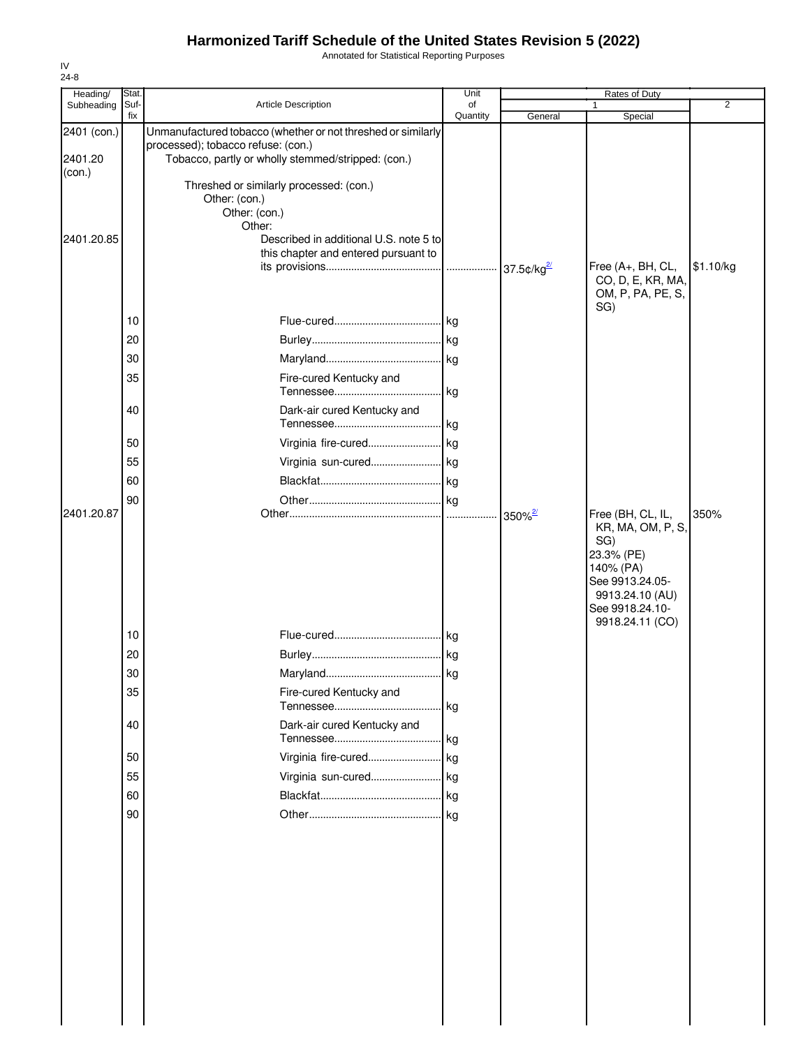Annotated for Statistical Reporting Purposes

| Heading/               | Stat.       |                                                                                                                                                          | Unit           |                                  | Rates of Duty                                                                                                                                        |           |
|------------------------|-------------|----------------------------------------------------------------------------------------------------------------------------------------------------------|----------------|----------------------------------|------------------------------------------------------------------------------------------------------------------------------------------------------|-----------|
| Subheading             | Suf-<br>fix | Article Description                                                                                                                                      | of<br>Quantity | General                          | Special                                                                                                                                              | 2         |
| 2401 (con.)<br>2401.20 |             | Unmanufactured tobacco (whether or not threshed or similarly<br>processed); tobacco refuse: (con.)<br>Tobacco, partly or wholly stemmed/stripped: (con.) |                |                                  |                                                                                                                                                      |           |
| (con.)                 |             | Threshed or similarly processed: (con.)<br>Other: (con.)                                                                                                 |                |                                  |                                                                                                                                                      |           |
| 2401.20.85             |             | Other: (con.)<br>Other:<br>Described in additional U.S. note 5 to<br>this chapter and entered pursuant to                                                |                | 37.5 $\text{c/kg}^{\frac{2}{5}}$ | Free (A+, BH, CL,                                                                                                                                    | \$1.10/kg |
|                        |             |                                                                                                                                                          |                |                                  | CO, D, E, KR, MA,<br>OM, P, PA, PE, S,<br>SG)                                                                                                        |           |
|                        | 10          |                                                                                                                                                          |                |                                  |                                                                                                                                                      |           |
|                        | 20          |                                                                                                                                                          |                |                                  |                                                                                                                                                      |           |
|                        | 30          |                                                                                                                                                          |                |                                  |                                                                                                                                                      |           |
|                        | 35          | Fire-cured Kentucky and                                                                                                                                  | lkg.           |                                  |                                                                                                                                                      |           |
|                        | 40          | Dark-air cured Kentucky and                                                                                                                              |                |                                  |                                                                                                                                                      |           |
|                        | 50          | Virginia fire-cured                                                                                                                                      | . kg           |                                  |                                                                                                                                                      |           |
|                        | 55          | Virginia sun-cured kg                                                                                                                                    |                |                                  |                                                                                                                                                      |           |
|                        | 60          |                                                                                                                                                          |                |                                  |                                                                                                                                                      |           |
|                        | 90          |                                                                                                                                                          |                |                                  |                                                                                                                                                      |           |
| 2401.20.87             |             |                                                                                                                                                          |                | $350\%$ <sup>2/</sup>            | Free (BH, CL, IL,<br>KR, MA, OM, P, S,<br>SG)<br>23.3% (PE)<br>140% (PA)<br>See 9913.24.05-<br>9913.24.10 (AU)<br>See 9918.24.10-<br>9918.24.11 (CO) | 350%      |
|                        | 10          |                                                                                                                                                          | kg             |                                  |                                                                                                                                                      |           |
|                        | 20          |                                                                                                                                                          |                |                                  |                                                                                                                                                      |           |
|                        | 30          | Maryland                                                                                                                                                 | <b>kg</b>      |                                  |                                                                                                                                                      |           |
|                        | 35          | Fire-cured Kentucky and                                                                                                                                  | kg             |                                  |                                                                                                                                                      |           |
|                        | 40          | Dark-air cured Kentucky and                                                                                                                              | kg             |                                  |                                                                                                                                                      |           |
|                        | 50          | Virginia fire-cured kg                                                                                                                                   |                |                                  |                                                                                                                                                      |           |
|                        | 55          | Virginia sun-cured kg                                                                                                                                    |                |                                  |                                                                                                                                                      |           |
|                        | 60          |                                                                                                                                                          |                |                                  |                                                                                                                                                      |           |
|                        | 90          |                                                                                                                                                          |                |                                  |                                                                                                                                                      |           |
|                        |             |                                                                                                                                                          |                |                                  |                                                                                                                                                      |           |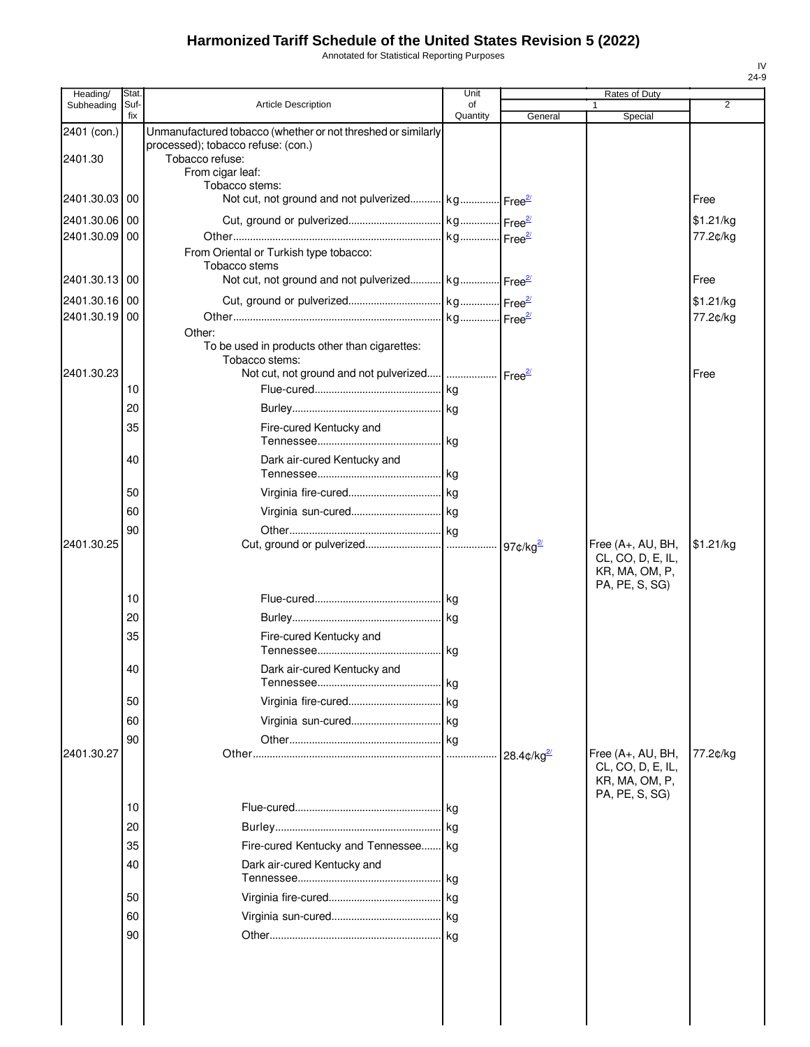Annotated for Statistical Reporting Purposes

| Heading/      | Stat        |                                                              | Unit           |                    | Rates of Duty                       |           |
|---------------|-------------|--------------------------------------------------------------|----------------|--------------------|-------------------------------------|-----------|
| Subheading    | Suf-<br>fix | <b>Article Description</b>                                   | of<br>Quantity | General            | 1<br>Special                        | 2         |
| 2401 (con.)   |             | Unmanufactured tobacco (whether or not threshed or similarly |                |                    |                                     |           |
| 2401.30       |             | processed); tobacco refuse: (con.)                           |                |                    |                                     |           |
|               |             | Tobacco refuse:<br>From cigar leaf:                          |                |                    |                                     |           |
|               |             | Tobacco stems:                                               |                |                    |                                     |           |
| 2401.30.03 00 |             | Not cut, not ground and not pulverized kg Free <sup>21</sup> |                |                    |                                     | Free      |
| 2401.30.06    | 00          |                                                              |                |                    |                                     | \$1.21/kg |
| 2401.30.09    | 00          |                                                              |                |                    |                                     | 77.2¢/kg  |
|               |             | From Oriental or Turkish type tobacco:<br>Tobacco stems      |                |                    |                                     |           |
| 2401.30.13 00 |             | Not cut, not ground and not pulverized kg Free <sup>21</sup> |                |                    |                                     | Free      |
| 2401.30.16 00 |             |                                                              |                |                    |                                     | \$1.21/kg |
| 2401.30.19    | 00          |                                                              |                |                    |                                     | 77.2¢/kg  |
|               |             | Other:                                                       |                |                    |                                     |           |
|               |             | To be used in products other than cigarettes:                |                |                    |                                     |           |
| 2401.30.23    |             | Tobacco stems:                                               |                |                    |                                     | Free      |
|               | 10          |                                                              |                |                    |                                     |           |
|               | 20          |                                                              |                |                    |                                     |           |
|               | 35          | Fire-cured Kentucky and                                      |                |                    |                                     |           |
|               |             |                                                              |                |                    |                                     |           |
|               | 40          | Dark air-cured Kentucky and                                  |                |                    |                                     |           |
|               |             |                                                              |                |                    |                                     |           |
|               | 50          |                                                              |                |                    |                                     |           |
|               | 60          |                                                              |                |                    |                                     |           |
|               | 90          |                                                              |                |                    |                                     |           |
| 2401.30.25    |             |                                                              |                |                    | Free (A+, AU, BH,                   | \$1.21/kg |
|               |             |                                                              |                |                    | CL, CO, D, E, IL,<br>KR, MA, OM, P, |           |
|               |             |                                                              |                |                    | PA, PE, S, SG)                      |           |
|               | 10          |                                                              |                |                    |                                     |           |
|               | 20          |                                                              |                |                    |                                     |           |
|               | 35          | Fire-cured Kentucky and                                      |                |                    |                                     |           |
|               |             |                                                              |                |                    |                                     |           |
|               | 40          | Dark air-cured Kentucky and                                  |                |                    |                                     |           |
|               | 50          |                                                              |                |                    |                                     |           |
|               | 60          |                                                              |                |                    |                                     |           |
|               | 90          |                                                              |                |                    |                                     |           |
| 2401.30.27    |             |                                                              |                | $28.4$ ¢/kg $^{2}$ | Free (A+, AU, BH,                   | 77.2¢/kg  |
|               |             |                                                              |                |                    | CL, CO, D, E, IL,                   |           |
|               |             |                                                              |                |                    | KR, MA, OM, P,<br>PA, PE, S, SG)    |           |
|               | 10          |                                                              |                |                    |                                     |           |
|               | 20          |                                                              |                |                    |                                     |           |
|               | 35          | Fire-cured Kentucky and Tennessee kg                         |                |                    |                                     |           |
|               | 40          | Dark air-cured Kentucky and                                  |                |                    |                                     |           |
|               |             |                                                              | kg             |                    |                                     |           |
|               | 50          |                                                              |                |                    |                                     |           |
|               | 60          |                                                              |                |                    |                                     |           |
|               | 90          |                                                              |                |                    |                                     |           |
|               |             |                                                              |                |                    |                                     |           |
|               |             |                                                              |                |                    |                                     |           |
|               |             |                                                              |                |                    |                                     |           |
|               |             |                                                              |                |                    |                                     |           |
|               |             |                                                              |                |                    |                                     |           |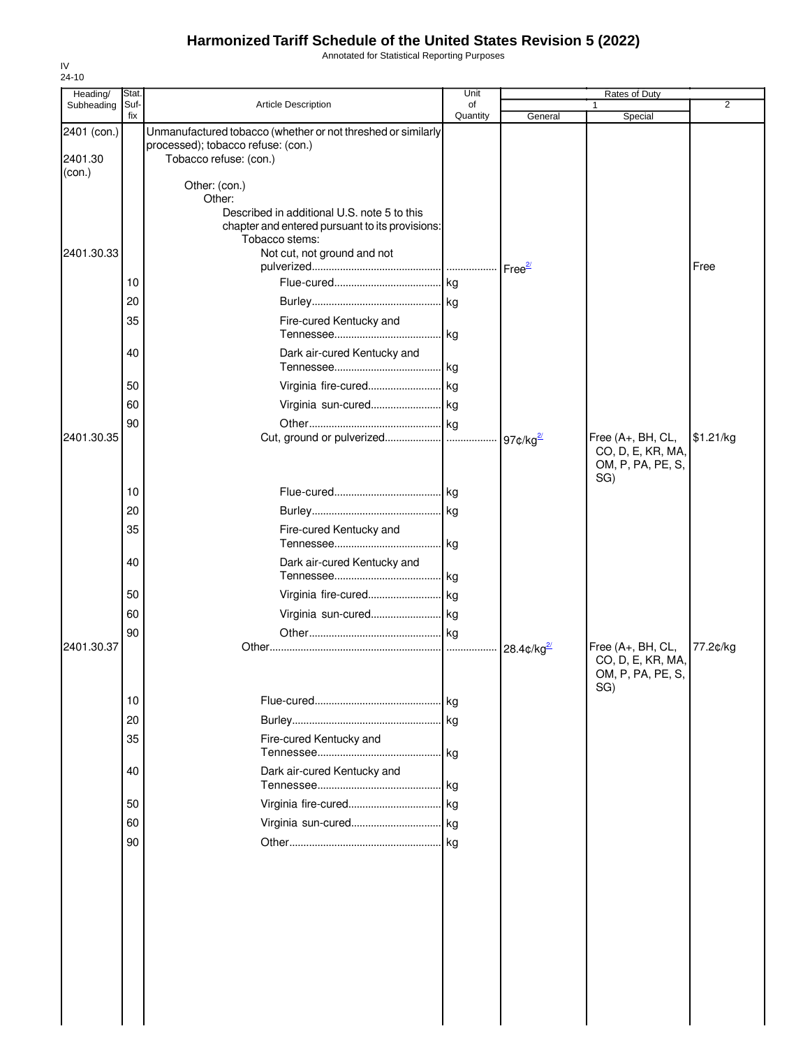Annotated for Statistical Reporting Purposes

| Heading/                         | Stat.       |                                                                                                                                             | Unit           |                      | Rates of Duty                                                      |                |
|----------------------------------|-------------|---------------------------------------------------------------------------------------------------------------------------------------------|----------------|----------------------|--------------------------------------------------------------------|----------------|
| Subheading                       | Suf-<br>fix | Article Description                                                                                                                         | of<br>Quantity | General              | 1<br>Special                                                       | $\overline{2}$ |
| 2401 (con.)<br>2401.30<br>(con.) |             | Unmanufactured tobacco (whether or not threshed or similarly<br>processed); tobacco refuse: (con.)<br>Tobacco refuse: (con.)                |                |                      |                                                                    |                |
|                                  |             | Other: (con.)<br>Other:<br>Described in additional U.S. note 5 to this<br>chapter and entered pursuant to its provisions:<br>Tobacco stems: |                |                      |                                                                    |                |
| 2401.30.33                       | 10          | Not cut, not ground and not                                                                                                                 |                |                      |                                                                    | Free           |
|                                  | 20<br>35    | Fire-cured Kentucky and                                                                                                                     |                |                      |                                                                    |                |
|                                  | 40          | Dark air-cured Kentucky and                                                                                                                 | . kg           |                      |                                                                    |                |
|                                  | 50<br>60    | Virginia fire-cured kg                                                                                                                      |                |                      |                                                                    |                |
| 2401.30.35                       | 90          |                                                                                                                                             |                |                      | Free (A+, BH, CL,<br>CO, D, E, KR, MA,<br>OM, P, PA, PE, S,        | \$1.21/kg      |
|                                  | 10<br>20    |                                                                                                                                             |                |                      | SG)                                                                |                |
|                                  | 35          | Fire-cured Kentucky and                                                                                                                     | .  kg          |                      |                                                                    |                |
|                                  | 40<br>50    | Dark air-cured Kentucky and<br>Virginia fire-cured kg                                                                                       |                |                      |                                                                    |                |
|                                  | 60<br>90    | Virginia sun-cured kg                                                                                                                       |                |                      |                                                                    |                |
| 2401.30.37                       |             |                                                                                                                                             |                | $28.4 \text{c/kg}^2$ | Free (A+, BH, CL,<br>CO, D, E, KR, MA,<br>OM, P, PA, PE, S,<br>SG) | 77.2¢/kg       |
|                                  | 10          |                                                                                                                                             | . kg           |                      |                                                                    |                |
|                                  | 20          |                                                                                                                                             | . kg           |                      |                                                                    |                |
|                                  | 35<br>40    | Fire-cured Kentucky and<br>Dark air-cured Kentucky and                                                                                      | kg             |                      |                                                                    |                |
|                                  |             |                                                                                                                                             | kg             |                      |                                                                    |                |
|                                  | 50<br>60    | Virginia fire-cured                                                                                                                         | . kg           |                      |                                                                    |                |
|                                  | 90          |                                                                                                                                             |                |                      |                                                                    |                |
|                                  |             |                                                                                                                                             |                |                      |                                                                    |                |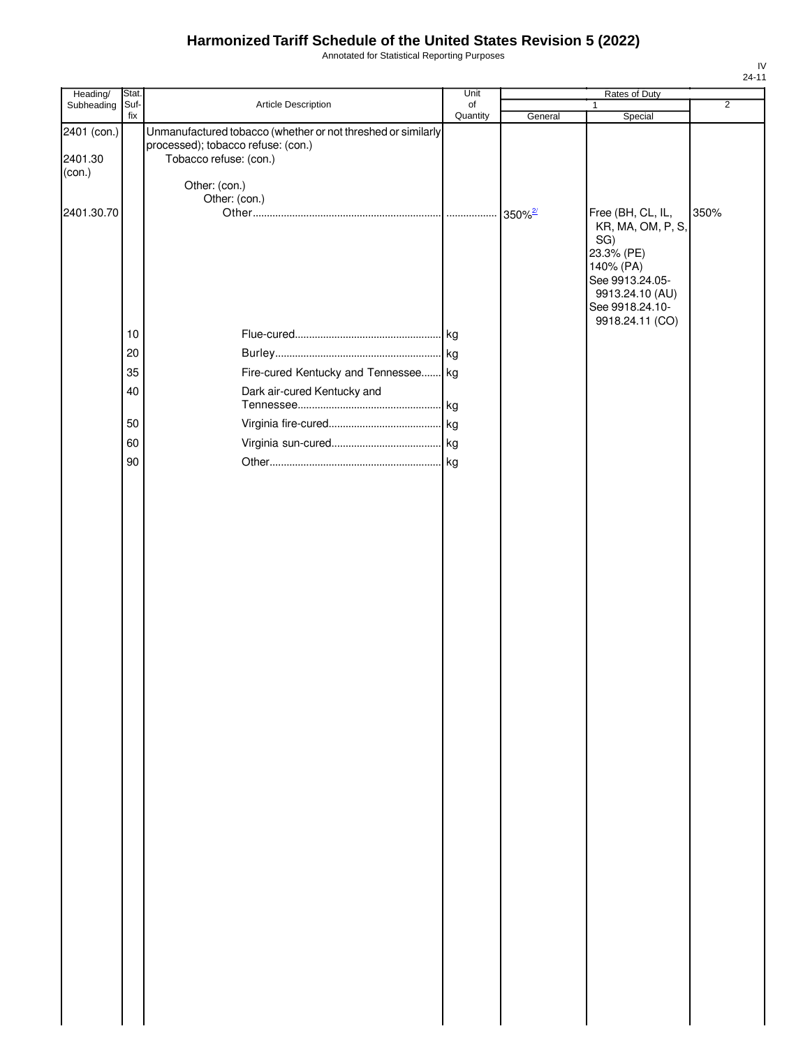Annotated for Statistical Reporting Purposes

| Heading/                         | Stat.       |                                                                                                                              | Unit           |                       | Rates of Duty                                                                                       |                |
|----------------------------------|-------------|------------------------------------------------------------------------------------------------------------------------------|----------------|-----------------------|-----------------------------------------------------------------------------------------------------|----------------|
| Subheading                       | Suf-<br>fix | Article Description                                                                                                          | of<br>Quantity | General               | $\mathbf{1}$<br>Special                                                                             | $\overline{2}$ |
| 2401 (con.)<br>2401.30<br>(con.) |             | Unmanufactured tobacco (whether or not threshed or similarly<br>processed); tobacco refuse: (con.)<br>Tobacco refuse: (con.) |                |                       |                                                                                                     |                |
|                                  |             | Other: (con.)                                                                                                                |                |                       |                                                                                                     |                |
| 2401.30.70                       |             | Other: (con.)                                                                                                                |                | $350\%$ <sup>2/</sup> | Free (BH, CL, IL,<br>KR, MA, OM, P, S,<br>SG)                                                       | 350%           |
|                                  |             |                                                                                                                              |                |                       | 23.3% (PE)<br>140% (PA)<br>See 9913.24.05-<br>9913.24.10 (AU)<br>See 9918.24.10-<br>9918.24.11 (CO) |                |
|                                  | 10          |                                                                                                                              |                |                       |                                                                                                     |                |
|                                  | 20          |                                                                                                                              |                |                       |                                                                                                     |                |
|                                  | 35          | Fire-cured Kentucky and Tennessee kg                                                                                         |                |                       |                                                                                                     |                |
|                                  | 40          | Dark air-cured Kentucky and                                                                                                  |                |                       |                                                                                                     |                |
|                                  |             |                                                                                                                              |                |                       |                                                                                                     |                |
|                                  | 50          |                                                                                                                              |                |                       |                                                                                                     |                |
|                                  | 60          |                                                                                                                              |                |                       |                                                                                                     |                |
|                                  | 90          |                                                                                                                              |                |                       |                                                                                                     |                |
|                                  |             |                                                                                                                              |                |                       |                                                                                                     |                |
|                                  |             |                                                                                                                              |                |                       |                                                                                                     |                |
|                                  |             |                                                                                                                              |                |                       |                                                                                                     |                |
|                                  |             |                                                                                                                              |                |                       |                                                                                                     |                |
|                                  |             |                                                                                                                              |                |                       |                                                                                                     |                |
|                                  |             |                                                                                                                              |                |                       |                                                                                                     |                |
|                                  |             |                                                                                                                              |                |                       |                                                                                                     |                |
|                                  |             |                                                                                                                              |                |                       |                                                                                                     |                |
|                                  |             |                                                                                                                              |                |                       |                                                                                                     |                |
|                                  |             |                                                                                                                              |                |                       |                                                                                                     |                |
|                                  |             |                                                                                                                              |                |                       |                                                                                                     |                |
|                                  |             |                                                                                                                              |                |                       |                                                                                                     |                |
|                                  |             |                                                                                                                              |                |                       |                                                                                                     |                |
|                                  |             |                                                                                                                              |                |                       |                                                                                                     |                |
|                                  |             |                                                                                                                              |                |                       |                                                                                                     |                |
|                                  |             |                                                                                                                              |                |                       |                                                                                                     |                |
|                                  |             |                                                                                                                              |                |                       |                                                                                                     |                |
|                                  |             |                                                                                                                              |                |                       |                                                                                                     |                |
|                                  |             |                                                                                                                              |                |                       |                                                                                                     |                |
|                                  |             |                                                                                                                              |                |                       |                                                                                                     |                |
|                                  |             |                                                                                                                              |                |                       |                                                                                                     |                |
|                                  |             |                                                                                                                              |                |                       |                                                                                                     |                |
|                                  |             |                                                                                                                              |                |                       |                                                                                                     |                |
|                                  |             |                                                                                                                              |                |                       |                                                                                                     |                |
|                                  |             |                                                                                                                              |                |                       |                                                                                                     |                |
|                                  |             |                                                                                                                              |                |                       |                                                                                                     |                |
|                                  |             |                                                                                                                              |                |                       |                                                                                                     |                |
|                                  |             |                                                                                                                              |                |                       |                                                                                                     |                |
|                                  |             |                                                                                                                              |                |                       |                                                                                                     |                |
|                                  |             |                                                                                                                              |                |                       |                                                                                                     |                |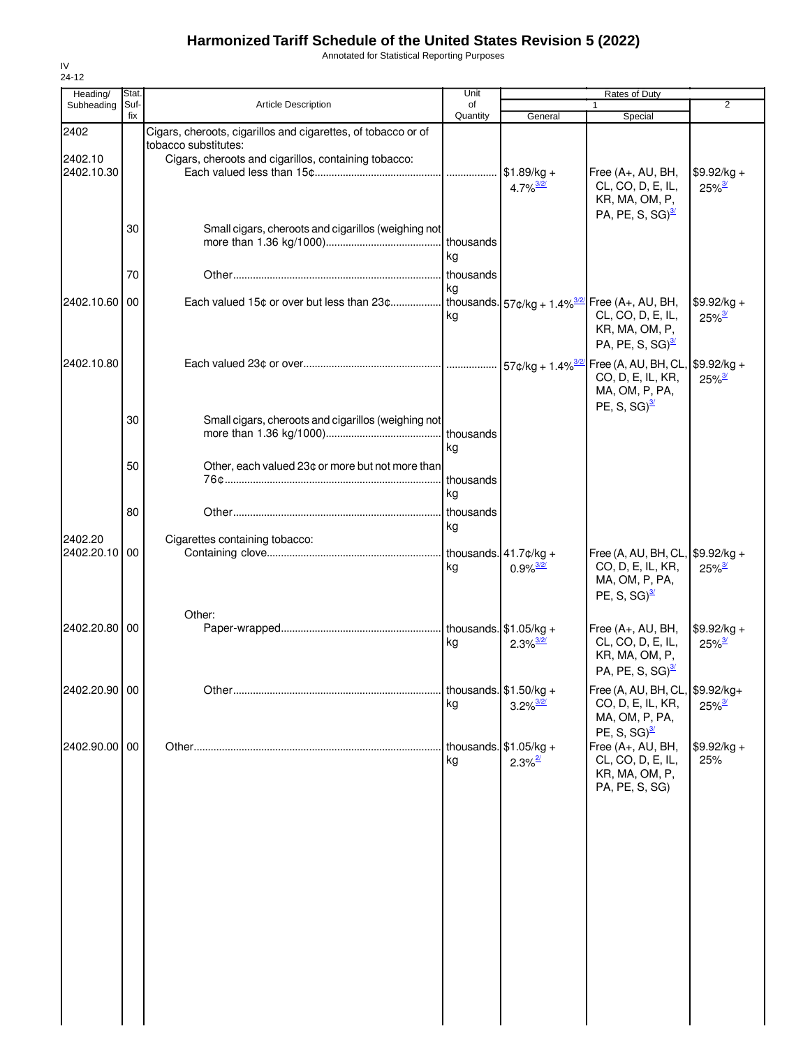Annotated for Statistical Reporting Purposes

| Heading/                 | Stat.       |                                                                                                         | Unit            |                                                     | Rates of Duty                                                                                          |                                      |
|--------------------------|-------------|---------------------------------------------------------------------------------------------------------|-----------------|-----------------------------------------------------|--------------------------------------------------------------------------------------------------------|--------------------------------------|
| Subheading               | Suf-<br>fix | <b>Article Description</b>                                                                              | of<br>Quantity  | General                                             | 1<br>Special                                                                                           | $\overline{2}$                       |
| 2402                     |             | Cigars, cheroots, cigarillos and cigarettes, of tobacco or of<br>tobacco substitutes:                   |                 |                                                     |                                                                                                        |                                      |
| 2402.10<br>2402.10.30    |             | Cigars, cheroots and cigarillos, containing tobacco:                                                    | .               | $$1.89/kg +$<br>$4.7\%$ <sup>3/2/</sup>             | Free (A+, AU, BH,<br>CL, CO, D, E, IL,<br>KR, MA, OM, P,                                               | $$9.92/kg +$<br>$25\%$ <sup>3/</sup> |
|                          | 30          | Small cigars, cheroots and cigarillos (weighing not                                                     | kg              |                                                     | PA, PE, S, SG) $\frac{3}{2}$                                                                           |                                      |
|                          | 70          |                                                                                                         | thousands       |                                                     |                                                                                                        |                                      |
| 2402.10.60 00            |             | Each valued 15¢ or over but less than 23¢ thousands. $57¢/kg + 1.4\%$ <sup>3/2/</sup> Free (A+, AU, BH, | kg<br>kg        |                                                     | CL, CO, D, E, IL,<br>KR, MA, OM, P,<br>PA, PE, S, SG) $\frac{3}{2}$                                    | $$9.92/kg +$<br>$25\%$ <sup>3/</sup> |
| 2402.10.80               |             |                                                                                                         |                 |                                                     | CO, D, E, IL, KR,<br>MA, OM, P, PA,<br>PE, S, SG) $\frac{3}{2}$                                        | $25\%$ <sup>3/</sup>                 |
|                          | 30          | Small cigars, cheroots and cigarillos (weighing not                                                     | thousands<br>kg |                                                     |                                                                                                        |                                      |
|                          | 50          | Other, each valued 23¢ or more but not more than                                                        | thousands<br>kg |                                                     |                                                                                                        |                                      |
|                          | 80          |                                                                                                         | thousands<br>kg |                                                     |                                                                                                        |                                      |
| 2402.20<br>2402.20.10 00 |             | Cigarettes containing tobacco:                                                                          | kg              | thousands. $41.7$ ¢/kg +<br>$0.9\%$ <sup>3/2/</sup> | Free (A, AU, BH, CL, \$9.92/kg +<br>CO, D, E, IL, KR,<br>MA, OM, P, PA,<br>PE, S, SG) $\frac{3}{2}$    | $25\%$ <sup>3/</sup>                 |
| 2402.20.80 00            |             | Other:                                                                                                  | kg              | $2.3\%$ <sup>3/2/</sup>                             | Free (A+, AU, BH,<br>CL, CO, D, E, IL,<br>KR, MA, OM, P,<br>PA, PE, S, SG) $\frac{3}{2}$               | $$9.92/kg +$<br>$25\%$ <sup>3/</sup> |
| 2402.20.90 00            |             |                                                                                                         | kg              | thousands. $$1.50/kg +$<br>$3.2\%$ <sup>3/2/</sup>  | Free (A, AU, BH, CL, $$9.92/kg +$<br>CO, D, E, IL, KR,<br>MA, OM, P, PA,                               | $25\%$ <sup>3/</sup>                 |
| 2402.90.00 00            |             |                                                                                                         | kg              | thousands. $$1.05/kg +$<br>$2.3\%$ <sup>2/</sup>    | PE, S, SG) $\frac{3}{2}$<br>Free (A+, AU, BH,<br>CL, CO, D, E, IL,<br>KR, MA, OM, P,<br>PA, PE, S, SG) | $$9.92/kg +$<br>25%                  |
|                          |             |                                                                                                         |                 |                                                     |                                                                                                        |                                      |
|                          |             |                                                                                                         |                 |                                                     |                                                                                                        |                                      |
|                          |             |                                                                                                         |                 |                                                     |                                                                                                        |                                      |
|                          |             |                                                                                                         |                 |                                                     |                                                                                                        |                                      |
|                          |             |                                                                                                         |                 |                                                     |                                                                                                        |                                      |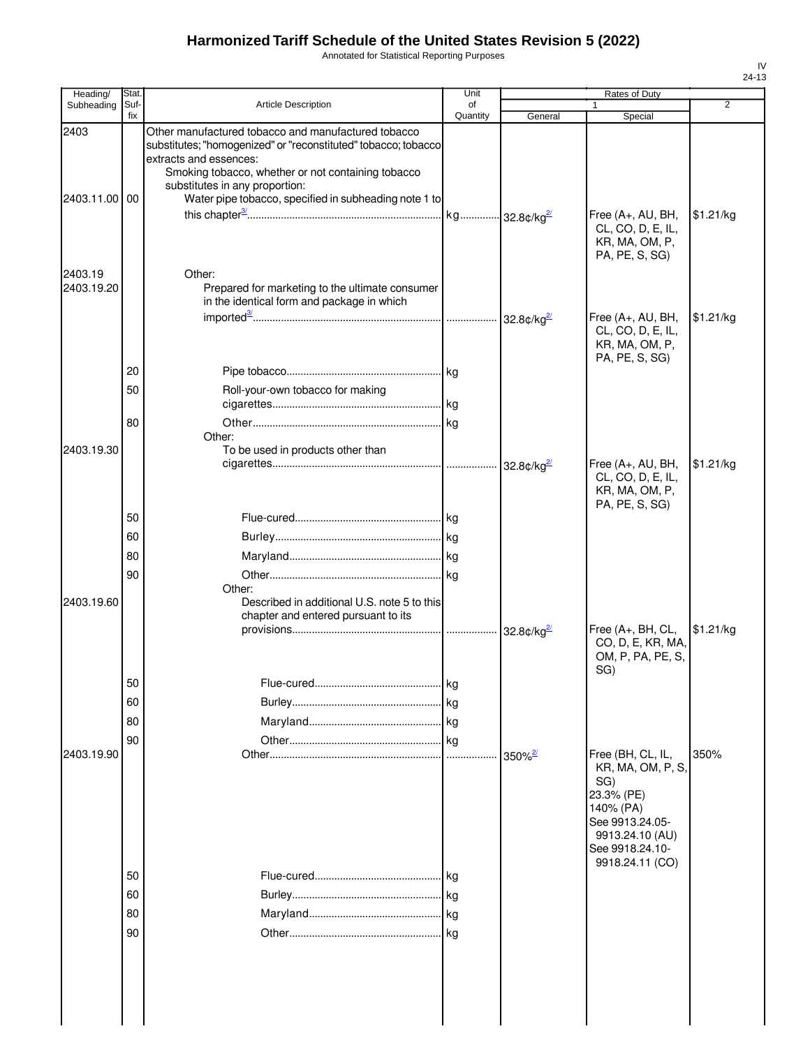Annotated for Statistical Reporting Purposes

| Heading/              | Stat.       |                                                                                                                                                                                                                                                                                                  | Unit           |                                  | Rates of Duty                                                                         |                |
|-----------------------|-------------|--------------------------------------------------------------------------------------------------------------------------------------------------------------------------------------------------------------------------------------------------------------------------------------------------|----------------|----------------------------------|---------------------------------------------------------------------------------------|----------------|
| Subheading            | Suf-<br>fix | Article Description                                                                                                                                                                                                                                                                              | of<br>Quantity | General                          | Special                                                                               | $\overline{2}$ |
| 2403<br>2403.11.00    | 00          | Other manufactured tobacco and manufactured tobacco<br>substitutes; "homogenized" or "reconstituted" tobacco; tobacco<br>extracts and essences:<br>Smoking tobacco, whether or not containing tobacco<br>substitutes in any proportion:<br>Water pipe tobacco, specified in subheading note 1 to |                |                                  |                                                                                       |                |
|                       |             |                                                                                                                                                                                                                                                                                                  |                |                                  | Free (A+, AU, BH,<br>CL, CO, D, E, IL,<br>KR, MA, OM, P,<br>PA, PE, S, SG)            | \$1.21/kg      |
| 2403.19<br>2403.19.20 |             | Other:<br>Prepared for marketing to the ultimate consumer<br>in the identical form and package in which                                                                                                                                                                                          |                |                                  |                                                                                       |                |
|                       |             |                                                                                                                                                                                                                                                                                                  |                | 32.8 $\text{C/kg}^{\frac{2}{2}}$ | Free $(A+, AU, BH,$<br>CL, CO, D, E, IL,<br>KR, MA, OM, P,<br>PA, PE, S, SG)          | \$1.21/kg      |
|                       | 20          |                                                                                                                                                                                                                                                                                                  |                |                                  |                                                                                       |                |
|                       | 50          | Roll-your-own tobacco for making                                                                                                                                                                                                                                                                 |                |                                  |                                                                                       |                |
|                       |             |                                                                                                                                                                                                                                                                                                  |                |                                  |                                                                                       |                |
|                       | 80          | Other:                                                                                                                                                                                                                                                                                           |                |                                  |                                                                                       |                |
| 2403.19.30            |             | To be used in products other than                                                                                                                                                                                                                                                                |                |                                  | Free (A+, AU, BH,<br>CL, CO, D, E, IL,                                                | \$1.21/kg      |
|                       | 50          |                                                                                                                                                                                                                                                                                                  |                |                                  | KR, MA, OM, P,<br>PA, PE, S, SG)                                                      |                |
|                       | 60          |                                                                                                                                                                                                                                                                                                  |                |                                  |                                                                                       |                |
|                       | 80          |                                                                                                                                                                                                                                                                                                  |                |                                  |                                                                                       |                |
|                       | 90          |                                                                                                                                                                                                                                                                                                  |                |                                  |                                                                                       |                |
| 2403.19.60            |             | Other:<br>Described in additional U.S. note 5 to this<br>chapter and entered pursuant to its                                                                                                                                                                                                     |                |                                  | Free (A+, BH, CL,                                                                     | \$1.21/kg      |
|                       |             |                                                                                                                                                                                                                                                                                                  |                |                                  | CO, D, E, KR, MA,<br>OM, P, PA, PE, S,<br>SG)                                         |                |
|                       | 50          |                                                                                                                                                                                                                                                                                                  | . I ka         |                                  |                                                                                       |                |
|                       | 60          |                                                                                                                                                                                                                                                                                                  |                |                                  |                                                                                       |                |
|                       | 80          |                                                                                                                                                                                                                                                                                                  |                |                                  |                                                                                       |                |
| 2403.19.90            | 90          |                                                                                                                                                                                                                                                                                                  |                |                                  |                                                                                       | 350%           |
|                       |             |                                                                                                                                                                                                                                                                                                  |                | $350\%$ <sup>27</sup>            | Free (BH, CL, IL,<br>KR, MA, OM, P, S,<br>SG)<br>23.3% (PE)                           |                |
|                       |             |                                                                                                                                                                                                                                                                                                  |                |                                  | 140% (PA)<br>See 9913.24.05-<br>9913.24.10 (AU)<br>See 9918.24.10-<br>9918.24.11 (CO) |                |
|                       | 50          |                                                                                                                                                                                                                                                                                                  | l kg           |                                  |                                                                                       |                |
|                       | 60          |                                                                                                                                                                                                                                                                                                  |                |                                  |                                                                                       |                |
|                       | 80          |                                                                                                                                                                                                                                                                                                  |                |                                  |                                                                                       |                |
|                       | 90          |                                                                                                                                                                                                                                                                                                  |                |                                  |                                                                                       |                |
|                       |             |                                                                                                                                                                                                                                                                                                  |                |                                  |                                                                                       |                |
|                       |             |                                                                                                                                                                                                                                                                                                  |                |                                  |                                                                                       |                |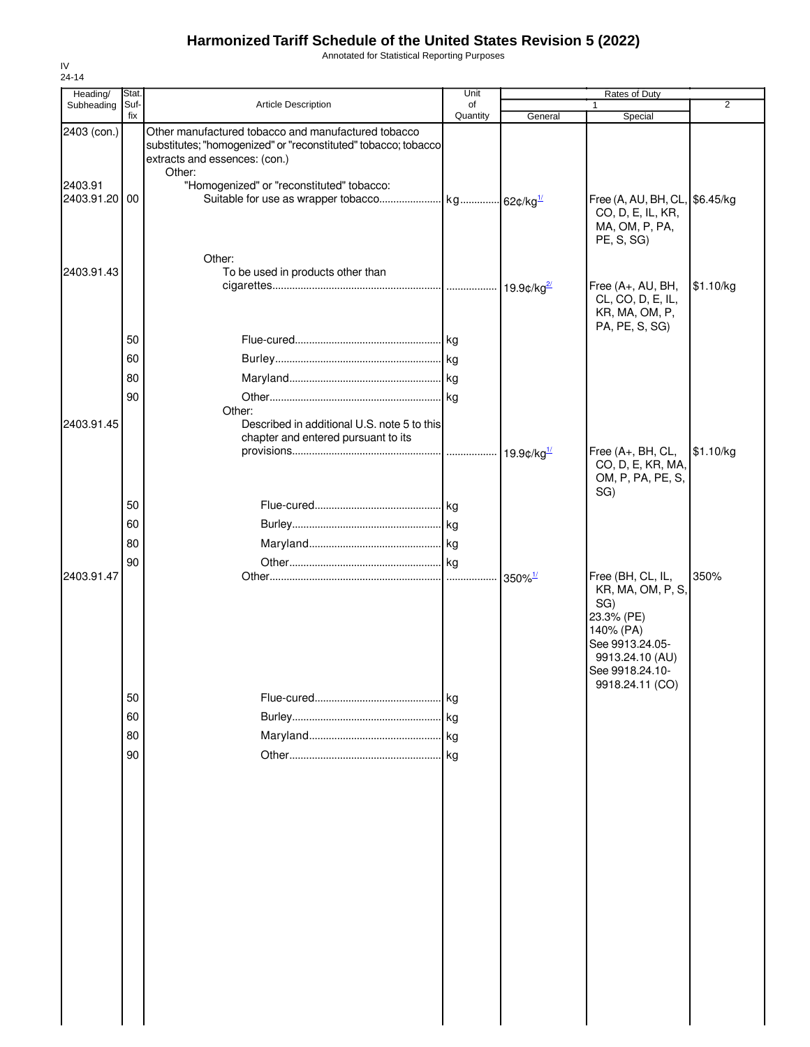Annotated for Statistical Reporting Purposes

| Heading/                                | Stat.                |                                                                                                                                                                                                               | Unit     | Rates of Duty             |                                                                                                                                                      |                |  |
|-----------------------------------------|----------------------|---------------------------------------------------------------------------------------------------------------------------------------------------------------------------------------------------------------|----------|---------------------------|------------------------------------------------------------------------------------------------------------------------------------------------------|----------------|--|
| Subheading                              | Suf-<br>fix          | Article Description                                                                                                                                                                                           | of       |                           | 1                                                                                                                                                    | $\overline{2}$ |  |
| 2403 (con.)<br>2403.91<br>2403.91.20 00 |                      | Other manufactured tobacco and manufactured tobacco<br>substitutes; "homogenized" or "reconstituted" tobacco; tobacco<br>extracts and essences: (con.)<br>Other:<br>"Homogenized" or "reconstituted" tobacco: | Quantity | General                   | Special<br>Free (A, AU, BH, CL, \$6.45/kg<br>CO, D, E, IL, KR,<br>MA, OM, P, PA,<br>PE, S, SG)                                                       |                |  |
| 2403.91.43                              |                      | Other:<br>To be used in products other than                                                                                                                                                                   |          |                           | Free (A+, AU, BH,<br>CL, CO, D, E, IL,<br>KR, MA, OM, P,                                                                                             | \$1.10/kg      |  |
| 2403.91.45                              | 50<br>60<br>80<br>90 | Other:<br>Described in additional U.S. note 5 to this<br>chapter and entered pursuant to its                                                                                                                  |          |                           | PA, PE, S, SG)                                                                                                                                       |                |  |
|                                         | 50<br>60<br>80       |                                                                                                                                                                                                               |          | 19.9¢/ $kg^{\frac{1}{2}}$ | Free (A+, BH, CL,<br>CO, D, E, KR, MA,<br>OM, P, PA, PE, S,<br>SG)                                                                                   | \$1.10/kg      |  |
| 2403.91.47                              | 90                   |                                                                                                                                                                                                               |          | $350\%$ <sup>1/</sup>     | Free (BH, CL, IL,<br>KR, MA, OM, P, S,<br>SG)<br>23.3% (PE)<br>140% (PA)<br>See 9913.24.05-<br>9913.24.10 (AU)<br>See 9918.24.10-<br>9918.24.11 (CO) | 350%           |  |
|                                         | 50<br>60<br>80<br>90 |                                                                                                                                                                                                               | kg       |                           |                                                                                                                                                      |                |  |
|                                         |                      |                                                                                                                                                                                                               |          |                           |                                                                                                                                                      |                |  |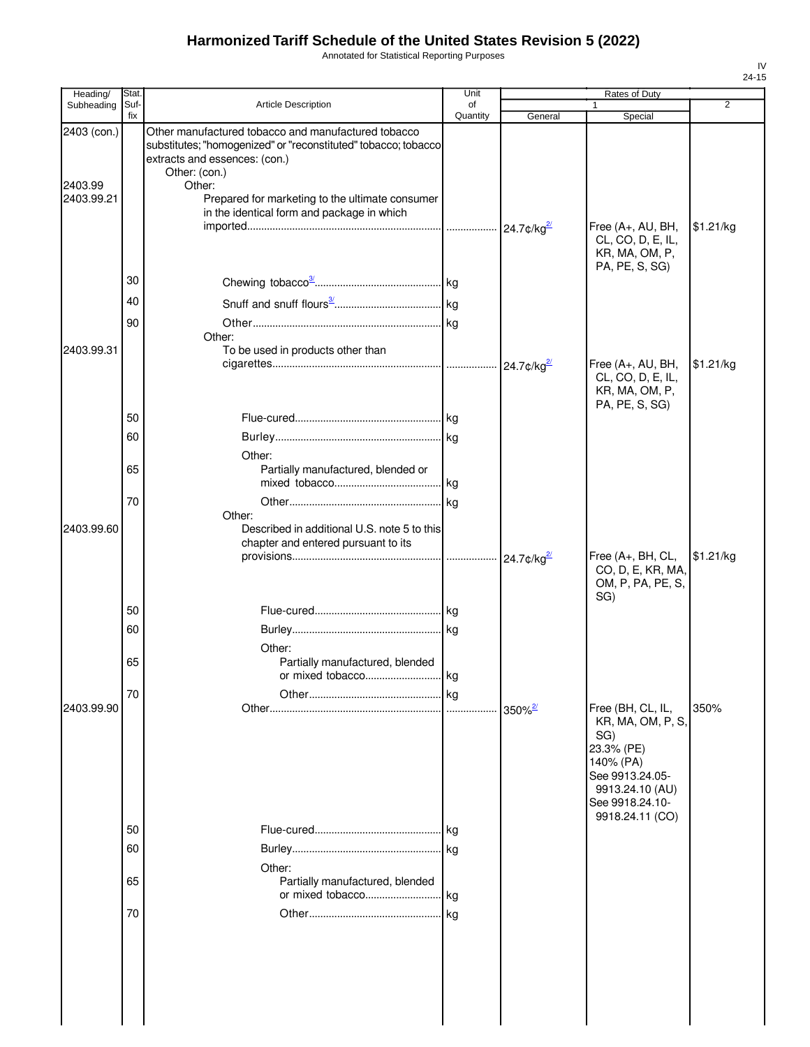Annotated for Statistical Reporting Purposes

| Heading/                             | Stat.       |                                                                                                                                                                                                                                                                                    | Unit           | Rates of Duty<br>$\overline{2}$ |                                                                                                                                   |           |
|--------------------------------------|-------------|------------------------------------------------------------------------------------------------------------------------------------------------------------------------------------------------------------------------------------------------------------------------------------|----------------|---------------------------------|-----------------------------------------------------------------------------------------------------------------------------------|-----------|
| Subheading                           | Suf-<br>fix | Article Description                                                                                                                                                                                                                                                                | of<br>Quantity | General                         | 1<br>Special                                                                                                                      |           |
| 2403 (con.)<br>2403.99<br>2403.99.21 |             | Other manufactured tobacco and manufactured tobacco<br>substitutes; "homogenized" or "reconstituted" tobacco; tobacco<br>extracts and essences: (con.)<br>Other: (con.)<br>Other:<br>Prepared for marketing to the ultimate consumer<br>in the identical form and package in which |                |                                 | Free (A+, AU, BH,<br>CL, CO, D, E, IL,<br>KR, MA, OM, P,<br>PA, PE, S, SG)                                                        | \$1.21/kg |
|                                      | 30          |                                                                                                                                                                                                                                                                                    |                |                                 |                                                                                                                                   |           |
|                                      | 40          |                                                                                                                                                                                                                                                                                    |                |                                 |                                                                                                                                   |           |
|                                      | 90          |                                                                                                                                                                                                                                                                                    |                |                                 |                                                                                                                                   |           |
| 2403.99.31                           |             | Other:<br>To be used in products other than                                                                                                                                                                                                                                        |                |                                 | Free (A+, AU, BH,                                                                                                                 | \$1.21/kg |
|                                      |             |                                                                                                                                                                                                                                                                                    |                |                                 | CL, CO, D, E, IL,<br>KR, MA, OM, P,<br>PA, PE, S, SG)                                                                             |           |
|                                      | 50          |                                                                                                                                                                                                                                                                                    |                |                                 |                                                                                                                                   |           |
|                                      | 60          |                                                                                                                                                                                                                                                                                    |                |                                 |                                                                                                                                   |           |
|                                      | 65          | Other:<br>Partially manufactured, blended or                                                                                                                                                                                                                                       |                |                                 |                                                                                                                                   |           |
|                                      | 70          |                                                                                                                                                                                                                                                                                    |                |                                 |                                                                                                                                   |           |
| 2403.99.60                           |             | Other:<br>Described in additional U.S. note 5 to this<br>chapter and entered pursuant to its                                                                                                                                                                                       |                |                                 | Free (A+, BH, CL,                                                                                                                 | \$1.21/kg |
|                                      |             |                                                                                                                                                                                                                                                                                    |                |                                 | CO, D, E, KR, MA,<br>OM, P, PA, PE, S,<br>SG)                                                                                     |           |
|                                      | 50          |                                                                                                                                                                                                                                                                                    |                |                                 |                                                                                                                                   |           |
|                                      | 60          |                                                                                                                                                                                                                                                                                    |                |                                 |                                                                                                                                   |           |
|                                      | 65          | Other:<br>Partially manufactured, blended                                                                                                                                                                                                                                          | kg             |                                 |                                                                                                                                   |           |
|                                      | 70          |                                                                                                                                                                                                                                                                                    |                |                                 |                                                                                                                                   |           |
| 2403.99.90                           |             |                                                                                                                                                                                                                                                                                    |                |                                 | Free (BH, CL, IL,<br>KR, MA, OM, P, S,<br>SG)<br>23.3% (PE)<br>140% (PA)<br>See 9913.24.05-<br>9913.24.10 (AU)<br>See 9918.24.10- | 350%      |
|                                      | 50          |                                                                                                                                                                                                                                                                                    |                |                                 | 9918.24.11 (CO)                                                                                                                   |           |
|                                      | 60          |                                                                                                                                                                                                                                                                                    |                |                                 |                                                                                                                                   |           |
|                                      |             | Other:                                                                                                                                                                                                                                                                             |                |                                 |                                                                                                                                   |           |
|                                      | 65          | Partially manufactured, blended                                                                                                                                                                                                                                                    |                |                                 |                                                                                                                                   |           |
|                                      | 70          |                                                                                                                                                                                                                                                                                    |                |                                 |                                                                                                                                   |           |
|                                      |             |                                                                                                                                                                                                                                                                                    |                |                                 |                                                                                                                                   |           |
|                                      |             |                                                                                                                                                                                                                                                                                    |                |                                 |                                                                                                                                   |           |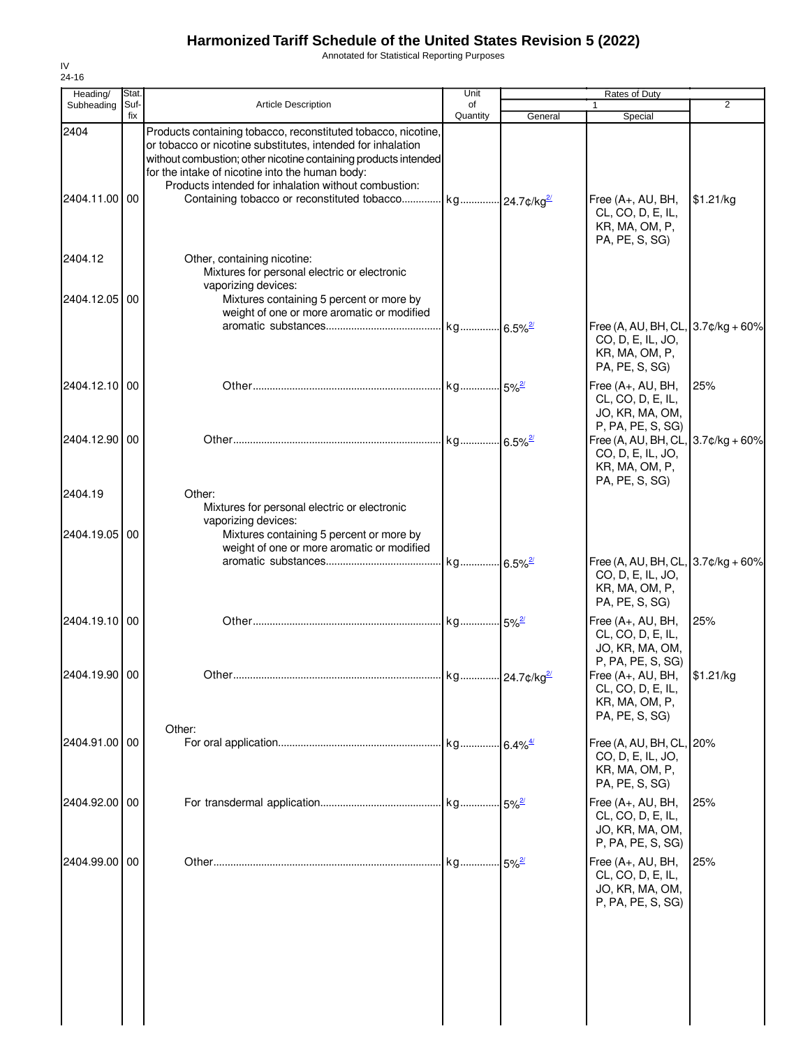Annotated for Statistical Reporting Purposes

| Heading/                 | Stat.       |                                                                                                                                                                                                                                                                                                                                                                                    | Unit           |                     | Rates of Duty                                                                                                         |                  |
|--------------------------|-------------|------------------------------------------------------------------------------------------------------------------------------------------------------------------------------------------------------------------------------------------------------------------------------------------------------------------------------------------------------------------------------------|----------------|---------------------|-----------------------------------------------------------------------------------------------------------------------|------------------|
| Subheading               | Suf-<br>fix | Article Description                                                                                                                                                                                                                                                                                                                                                                | of<br>Quantity | General             | $\mathbf{1}$<br>Special                                                                                               | 2                |
| 2404<br>2404.11.00       | 00          | Products containing tobacco, reconstituted tobacco, nicotine,<br>or tobacco or nicotine substitutes, intended for inhalation<br>without combustion; other nicotine containing products intended<br>for the intake of nicotine into the human body:<br>Products intended for inhalation without combustion:<br>Containing tobacco or reconstituted tobacco kg 24.7¢/kg <sup>2</sup> |                |                     | Free (A+, AU, BH,<br>CL, CO, D, E, IL,<br>KR, MA, OM, P,<br>PA, PE, S, SG)                                            | \$1.21/kg        |
| 2404.12<br>2404.12.05 00 |             | Other, containing nicotine:<br>Mixtures for personal electric or electronic<br>vaporizing devices:<br>Mixtures containing 5 percent or more by<br>weight of one or more aromatic or modified                                                                                                                                                                                       |                |                     | Free (A, AU, BH, CL, 3.7¢/kg + 60%<br>CO, D, E, IL, JO,<br>KR, MA, OM, P,                                             |                  |
| 2404.12.10 00            |             |                                                                                                                                                                                                                                                                                                                                                                                    |                |                     | PA, PE, S, SG)<br>Free (A+, AU, BH,<br>CL, CO, D, E, IL,                                                              | 25%              |
| 2404.12.90 00            |             |                                                                                                                                                                                                                                                                                                                                                                                    |                |                     | JO, KR, MA, OM,<br>P, PA, PE, S, SG)<br>Free (A, AU, BH, CL,<br>CO, D, E, IL, JO,<br>KR, MA, OM, P,<br>PA, PE, S, SG) | $3.7$ ¢/kg + 60% |
| 2404.19<br>2404.19.05 00 |             | Other:<br>Mixtures for personal electric or electronic<br>vaporizing devices:<br>Mixtures containing 5 percent or more by<br>weight of one or more aromatic or modified                                                                                                                                                                                                            |                |                     |                                                                                                                       |                  |
|                          |             |                                                                                                                                                                                                                                                                                                                                                                                    |                |                     | Free (A, AU, BH, CL, $3.7$ $¢$ / $kg + 60$ %<br>CO, D, E, IL, JO,<br>KR, MA, OM, P,<br>PA, PE, S, SG)                 |                  |
| 2404.19.10 00            |             |                                                                                                                                                                                                                                                                                                                                                                                    |                |                     | Free (A+, AU, BH,<br>CL, CO, D, E, IL,<br>JO, KR, MA, OM,                                                             | 25%              |
| 2404.19.90 00            |             |                                                                                                                                                                                                                                                                                                                                                                                    |                |                     | P, PA, PE, S, SG)<br>Free (A+, AU, BH,<br>CL, CO, D, E, IL,<br>KR, MA, OM, P,<br>PA, PE, S, SG)                       | \$1.21/kg        |
| 2404.91.00 00            |             | Other:                                                                                                                                                                                                                                                                                                                                                                             |                |                     | Free (A, AU, BH, CL, 20%<br>CO, D, E, IL, JO,<br>KR, MA, OM, P,<br>PA, PE, S, SG)                                     |                  |
| 2404.92.00 00            |             |                                                                                                                                                                                                                                                                                                                                                                                    |                |                     | Free (A+, AU, BH,<br>CL, CO, D, E, IL,<br>JO, KR, MA, OM,<br>P, PA, PE, S, SG)                                        | 25%              |
| 2404.99.00               | 00          |                                                                                                                                                                                                                                                                                                                                                                                    |                | $5\%$ <sup>2/</sup> | Free (A+, AU, BH,<br>CL, CO, D, E, IL,<br>JO, KR, MA, OM,<br>P, PA, PE, S, SG)                                        | 25%              |